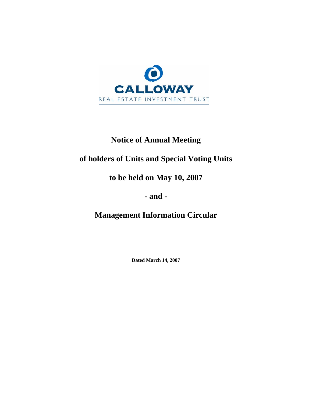

# **Notice of Annual Meeting**

# **of holders of Units and Special Voting Units**

**to be held on May 10, 2007** 

**- and -** 

**Management Information Circular**

**Dated March 14, 2007**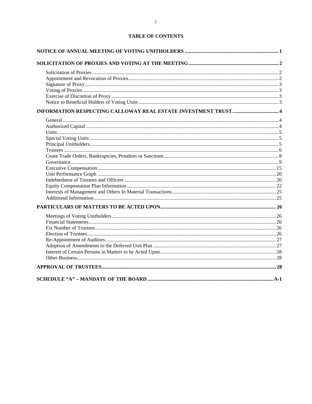# **TABLE OF CONTENTS**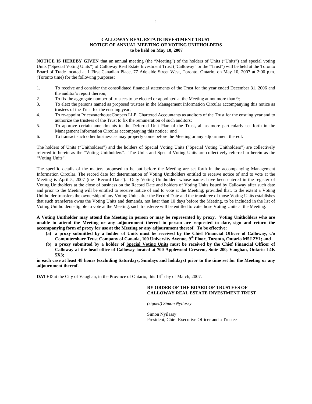## **CALLOWAY REAL ESTATE INVESTMENT TRUST NOTICE OF ANNUAL MEETING OF VOTING UNITHOLDERS to be held on May 10, 2007**

**NOTICE IS HEREBY GIVEN** that an annual meeting (the "Meeting") of the holders of Units ("Units") and special voting Units ("Special Voting Units") of Calloway Real Estate Investment Trust ("Calloway" or the "Trust") will be held at the Toronto Board of Trade located at 1 First Canadian Place, 77 Adelaide Street West, Toronto, Ontario, on May 10, 2007 at 2:00 p.m. (Toronto time) for the following purposes:

- 1. To receive and consider the consolidated financial statements of the Trust for the year ended December 31, 2006 and the auditor's report thereon;
- 2. To fix the aggregate number of trustees to be elected or appointed at the Meeting at not more than 9;
- 3. To elect the persons named as proposed trustees in the Management Information Circular accompanying this notice as trustees of the Trust for the ensuing year;
- 4. To re-appoint PricewaterhouseCoopers LLP, Chartered Accountants as auditors of the Trust for the ensuing year and to authorize the trustees of the Trust to fix the remuneration of such auditors;
- 5. To approve certain amendments to the Deferred Unit Plan of the Trust, all as more particularly set forth in the Management Information Circular accompanying this notice; and
- 6. To transact such other business as may properly come before the Meeting or any adjournment thereof.

The holders of Units ("Unitholders") and the holders of Special Voting Units ("Special Voting Unitholders") are collectively referred to herein as the "Voting Unitholders". The Units and Special Voting Units are collectively referred to herein as the "Voting Units".

The specific details of the matters proposed to be put before the Meeting are set forth in the accompanying Management Information Circular. The record date for determination of Voting Unitholders entitled to receive notice of and to vote at the Meeting is April 5, 2007 (the "Record Date"). Only Voting Unitholders whose names have been entered in the register of Voting Unitholders at the close of business on the Record Date and holders of Voting Units issued by Calloway after such date and prior to the Meeting will be entitled to receive notice of and to vote at the Meeting; provided that, to the extent a Voting Unitholder transfers the ownership of any Voting Units after the Record Date and the transferee of those Voting Units establishes that such transferee owns the Voting Units and demands, not later than 10 days before the Meeting, to be included in the list of Voting Unitholders eligible to vote at the Meeting, such transferee will be entitled to vote those Voting Units at the Meeting.

**A Voting Unitholder may attend the Meeting in person or may be represented by proxy. Voting Unitholders who are unable to attend the Meeting or any adjournment thereof in person are requested to date, sign and return the accompanying form of proxy for use at the Meeting or any adjournment thereof. To be effective:** 

- **(a) a proxy submitted by a holder of Units must be received by the Chief Financial Officer of Calloway, c/o**  Computershare Trust Company of Canada, 100 University Avenue, 9<sup>th</sup> Floor, Toronto, Ontario M5J 2Y1; and
- **(b) a proxy submitted by a holder of Special Voting Units must be received by the Chief Financial Officer of Calloway at the head office of Calloway located at 700 Applewood Crescent, Suite 200, Vaughan, Ontario L4K 5X3;**

**in each case at least 48 hours (excluding Saturdays, Sundays and holidays) prior to the time set for the Meeting or any adjournment thereof.** 

**DATED** at the City of Vaughan, in the Province of Ontario, this 14<sup>th</sup> day of March, 2007.

#### **BY ORDER OF THE BOARD OF TRUSTEES OF CALLOWAY REAL ESTATE INVESTMENT TRUST**

*(signed) Simon Nyilassy* 

 $\overline{a}$ Simon Nyilassy President, Chief Executive Officer and a Trustee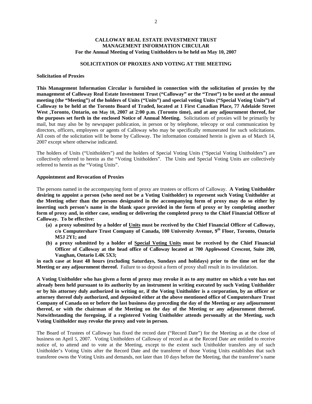# **CALLOWAY REAL ESTATE INVESTMENT TRUST MANAGEMENT INFORMATION CIRCULAR For the Annual Meeting of Voting Unitholders to be held on May 10, 2007**

## **SOLICITATION OF PROXIES AND VOTING AT THE MEETING**

#### **Solicitation of Proxies**

**This Management Information Circular is furnished in connection with the solicitation of proxies by the management of Calloway Real Estate Investment Trust ("Calloway" or the "Trust") to be used at the annual meeting (the "Meeting") of the holders of Units ("Units") and special voting Units ("Special Voting Units") of Calloway to be held at the Toronto Board of Traded, located at 1 First Canadian Place, 77 Adelaide Street**  West ,Toronto, Ontario, on May 10, 2007 at 2:00 p.m. (Toronto time), and at any adjournment thereof, for **the purposes set forth in the enclosed Notice of Annual Meeting.** Solicitations of proxies will be primarily by mail, but may also be by newspaper publication, in person or by telephone, telecopy or oral communication by directors, officers, employees or agents of Calloway who may be specifically remunerated for such solicitations. All costs of the solicitation will be borne by Calloway. The information contained herein is given as of March 14, 2007 except where otherwise indicated.

The holders of Units ("Unitholders") and the holders of Special Voting Units ("Special Voting Unitholders") are collectively referred to herein as the "Voting Unitholders". The Units and Special Voting Units are collectively referred to herein as the "Voting Units".

#### **Appointment and Revocation of Proxies**

The persons named in the accompanying form of proxy are trustees or officers of Calloway. **A Voting Unitholder desiring to appoint a person (who need not be a Voting Unitholder) to represent such Voting Unitholder at the Meeting other than the persons designated in the accompanying form of proxy may do so either by inserting such person's name in the blank space provided in the form of proxy or by completing another form of proxy and, in either case, sending or delivering the completed proxy to the Chief Financial Officer of Calloway. To be effective:** 

- **(a) a proxy submitted by a holder of Units must be received by the Chief Financial Officer of Calloway, c/o Computershare Trust Company of Canada, 100 University Avenue, 9th Floor, Toronto, Ontario M5J 2Y1; and**
- **(b) a proxy submitted by a holder of Special Voting Units must be received by the Chief Financial Officer of Calloway at the head office of Calloway located at 700 Applewood Crescent, Suite 200, Vaughan, Ontario L4K 5X3;**

**in each case at least 48 hours (excluding Saturdays, Sundays and holidays) prior to the time set for the Meeting or any adjournment thereof.** Failure to so deposit a form of proxy shall result in its invalidation.

**A Voting Unitholder who has given a form of proxy may revoke it as to any matter on which a vote has not already been held pursuant to its authority by an instrument in writing executed by such Voting Unitholder or by his attorney duly authorized in writing or, if the Voting Unitholder is a corporation, by an officer or attorney thereof duly authorized, and deposited either at the above mentioned office of Computershare Trust Company of Canada on or before the last business day preceding the day of the Meeting or any adjournment thereof, or with the chairman of the Meeting on the day of the Meeting or any adjournment thereof. Notwithstanding the foregoing, if a registered Voting Unitholder attends personally at the Meeting, such Voting Unitholder may revoke the proxy and vote in person.** 

The Board of Trustees of Calloway has fixed the record date ("Record Date") for the Meeting as at the close of business on April 5, 2007. Voting Unitholders of Calloway of record as at the Record Date are entitled to receive notice of, to attend and to vote at the Meeting, except to the extent such Unitholder transfers any of such Unitholder's Voting Units after the Record Date and the transferee of those Voting Units establishes that such transferee owns the Voting Units and demands, not later than 10 days before the Meeting, that the transferee's name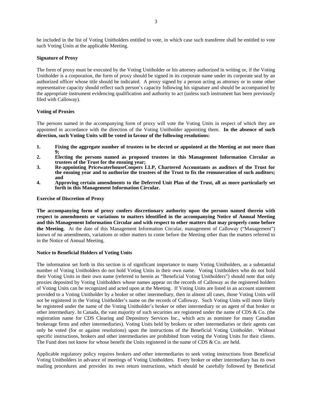be included in the list of Voting Unitholders entitled to vote, in which case such transferee shall be entitled to vote such Voting Units at the applicable Meeting.

## **Signature of Proxy**

The form of proxy must be executed by the Voting Unitholder or his attorney authorized in writing or, if the Voting Unitholder is a corporation, the form of proxy should be signed in its corporate name under its corporate seal by an authorized officer whose title should be indicated. A proxy signed by a person acting as attorney or in some other representative capacity should reflect such person's capacity following his signature and should be accompanied by the appropriate instrument evidencing qualification and authority to act (unless such instrument has been previously filed with Calloway).

## **Voting of Proxies**

The persons named in the accompanying form of proxy will vote the Voting Units in respect of which they are appointed in accordance with the direction of the Voting Unitholder appointing them. **In the absence of such direction, such Voting Units will be voted in favour of the following resolutions:** 

- **1. Fixing the aggregate number of trustees to be elected or appointed at the Meeting at not more than 9;**
- **2. Electing the persons named as proposed trustees in this Management Information Circular as trustees of the Trust for the ensuing year;**
- **3. Re-appointing PricewaterhouseCoopers LLP, Chartered Accountants as auditors of the Trust for the ensuing year and to authorize the trustees of the Trust to fix the remuneration of such auditors; and**
- **4. Approving certain amendments to the Deferred Unit Plan of the Trust, all as more particularly set forth in this Management Information Circular.**

## **Exercise of Discretion of Proxy**

**The accompanying form of proxy confers discretionary authority upon the persons named therein with respect to amendments or variations to matters identified in the accompanying Notice of Annual Meeting and this Management Information Circular and with respect to other matters that may properly come before the Meeting.** At the date of this Management Information Circular, management of Calloway ("Management") knows of no amendments, variations or other matters to come before the Meeting other than the matters referred to in the Notice of Annual Meeting.

## **Notice to Beneficial Holders of Voting Units**

The information set forth in this section is of significant importance to many Voting Unitholders, as a substantial number of Voting Unitholders do not hold Voting Units in their own name. Voting Unitholders who do not hold their Voting Units in their own name (referred to herein as "Beneficial Voting Unitholders") should note that only proxies deposited by Voting Unitholders whose names appear on the records of Calloway as the registered holders of Voting Units can be recognized and acted upon at the Meeting. If Voting Units are listed in an account statement provided to a Voting Unitholder by a broker or other intermediary, then in almost all cases, those Voting Units will not be registered in the Voting Unitholder's name on the records of Calloway. Such Voting Units will more likely be registered under the name of the Voting Unitholder's broker or other intermediary or an agent of that broker or other intermediary. In Canada, the vast majority of such securities are registered under the name of CDS  $\&$  Co. (the registration name for CDS Clearing and Depository Services Inc., which acts as nominee for many Canadian brokerage firms and other intermediaries). Voting Units held by brokers or other intermediaries or their agents can only be voted (for or against resolutions) upon the instructions of the Beneficial Voting Unitholder. Without specific instructions, brokers and other intermediaries are prohibited from voting the Voting Units for their clients. The Fund does not know for whose benefit the Units registered in the name of CDS & Co. are held.

Applicable regulatory policy requires brokers and other intermediaries to seek voting instructions from Beneficial Voting Unitholders in advance of meetings of Voting Unitholders. Every broker or other intermediary has its own mailing procedures and provides its own return instructions, which should be carefully followed by Beneficial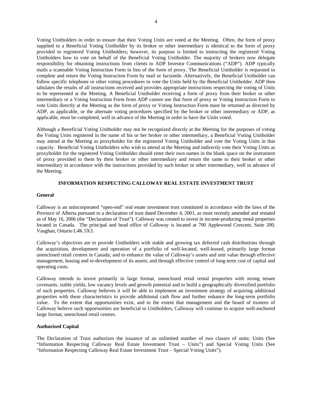Voting Unitholders in order to ensure that their Voting Units are voted at the Meeting. Often, the form of proxy supplied to a Beneficial Voting Unitholder by its broker or other intermediary is identical to the form of proxy provided to registered Voting Unitholders; however, its purpose is limited to instructing the registered Voting Unitholders how to vote on behalf of the Beneficial Voting Unitholder. The majority of brokers now delegate responsibility for obtaining instructions from clients to ADP Investor Communications ("ADP"). ADP typically mails a scannable Voting Instruction Form in lieu of the form of proxy. The Beneficial Unitholder is requested to complete and return the Voting Instruction Form by mail or facsimile. Alternatively, the Beneficial Unitholder can follow specific telephone or other voting procedures to vote the Units held by the Beneficial Unitholder. ADP then tabulates the results of all instructions received and provides appropriate instructions respecting the voting of Units to be represented at the Meeting. A Beneficial Unitholder receiving a form of proxy from their broker or other intermediary or a Voting Instruction Form from ADP cannot use that form of proxy or Voting Instruction Form to vote Units directly at the Meeting as the form of proxy or Voting Instruction Form must be returned as directed by ADP, as applicable, or the alternate voting procedures specified by the broker or other intermediary or ADP, as applicable, must be completed, well in advance of the Meeting in order to have the Units voted.

Although a Beneficial Voting Unitholder may not be recognized directly at the Meeting for the purposes of voting the Voting Units registered in the name of his or her broker or other intermediary, a Beneficial Voting Unitholder may attend at the Meeting as proxyholder for the registered Voting Unitholder and vote the Voting Units in that capacity. Beneficial Voting Unitholders who wish to attend at the Meeting and indirectly vote their Voting Units as proxyholder for the registered Voting Unitholder should enter their own names in the blank space on the instrument of proxy provided to them by their broker or other intermediary and return the same to their broker or other intermediary in accordance with the instructions provided by such broker or other intermediary, well in advance of the Meeting.

## **INFORMATION RESPECTING CALLOWAY REAL ESTATE INVESTMENT TRUST**

#### **General**

Calloway is an unincorporated "open-end" real estate investment trust constituted in accordance with the laws of the Province of Alberta pursuant to a declaration of trust dated December 4, 2001, as most recently amended and restated as of May 16, 2006 (the "Declaration of Trust"). Calloway was created to invest in income-producing rental properties located in Canada. The principal and head office of Calloway is located at 700 Applewood Crescent, Suite 200, Vaughan, Ontario L4K 5X3.

Calloway's objectives are to provide Unitholders with stable and growing tax deferred cash distributions through the acquisition, development and operation of a portfolio of well-located, well-leased, primarily large format unenclosed retail centres in Canada; and to enhance the value of Calloway's assets and unit value through effective management, leasing and re-development of its assets; and through effective control of long-term cost of capital and operating costs.

Calloway intends to invest primarily in large format, unenclosed retail rental properties with strong tenant covenants, stable yields, low vacancy levels and growth potential and to build a geographically diversified portfolio of such properties. Calloway believes it will be able to implement an investment strategy of acquiring additional properties with these characteristics to provide additional cash flow and further enhance the long-term portfolio value. To the extent that opportunities exist, and to the extent that management and the board of trustees of Calloway believe such opportunities are beneficial to Unitholders, Calloway will continue to acquire well-anchored large format, unenclosed retail centres.

#### **Authorized Capital**

The Declaration of Trust authorizes the issuance of an unlimited number of two classes of units: Units (See "Information Respecting Calloway Real Estate Investment Trust – Units") and Special Voting Units (See "Information Respecting Calloway Real Estate Investment Trust – Special Voting Units").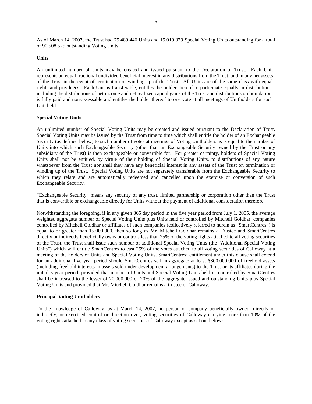As of March 14, 2007, the Trust had 75,489,446 Units and 15,019,079 Special Voting Units outstanding for a total of 90,508,525 outstanding Voting Units.

## **Units**

An unlimited number of Units may be created and issued pursuant to the Declaration of Trust. Each Unit represents an equal fractional undivided beneficial interest in any distributions from the Trust, and in any net assets of the Trust in the event of termination or winding-up of the Trust. All Units are of the same class with equal rights and privileges. Each Unit is transferable, entitles the holder thereof to participate equally in distributions, including the distributions of net income and net realized capital gains of the Trust and distributions on liquidation, is fully paid and non-assessable and entitles the holder thereof to one vote at all meetings of Unitholders for each Unit held.

# **Special Voting Units**

An unlimited number of Special Voting Units may be created and issued pursuant to the Declaration of Trust. Special Voting Units may be issued by the Trust from time to time which shall entitle the holder of an Exchangeable Security (as defined below) to such number of votes at meetings of Voting Unitholders as is equal to the number of Units into which such Exchangeable Security (other than an Exchangeable Security owned by the Trust or any subsidiary of the Trust) is then exchangeable or convertible for. For greater certainty, holders of Special Voting Units shall not be entitled, by virtue of their holding of Special Voting Units, to distributions of any nature whatsoever from the Trust nor shall they have any beneficial interest in any assets of the Trust on termination or winding up of the Trust. Special Voting Units are not separately transferable from the Exchangeable Security to which they relate and are automatically redeemed and cancelled upon the exercise or conversion of such Exchangeable Security.

"Exchangeable Security" means any security of any trust, limited partnership or corporation other than the Trust that is convertible or exchangeable directly for Units without the payment of additional consideration therefore.

Notwithstanding the foregoing, if in any given 365 day period in the five year period from July 1, 2005, the average weighted aggregate number of Special Voting Units plus Units held or controlled by Mitchell Goldhar, companies controlled by Mitchell Goldhar or affiliates of such companies (collectively referred to herein as "SmartCentres") is equal to or greater than 15,000,000, then so long as Mr. Mitchell Goldhar remains a Trustee and SmartCentres directly or indirectly beneficially owns or controls less than 25% of the voting rights attached to all voting securities of the Trust, the Trust shall issue such number of additional Special Voting Units (the "Additional Special Voting Units") which will entitle SmartCentres to cast 25% of the votes attached to all voting securities of Calloway at a meeting of the holders of Units and Special Voting Units. SmartCentres' entitlement under this clause shall extend for an additional five year period should SmartCentres sell in aggregate at least \$800,000,000 of freehold assets (including freehold interests in assets sold under development arrangements) to the Trust or its affiliates during the initial 5 year period, provided that number of Units and Special Voting Units held or controlled by SmartCentres shall be increased to the lesser of 20,000,000 or 20% of the aggregate issued and outstanding Units plus Special Voting Units and provided that Mr. Mitchell Goldhar remains a trustee of Calloway.

#### **Principal Voting Unitholders**

To the knowledge of Calloway, as at March 14, 2007, no person or company beneficially owned, directly or indirectly, or exercised control or direction over, voting securities of Calloway carrying more than 10% of the voting rights attached to any class of voting securities of Calloway except as set out below: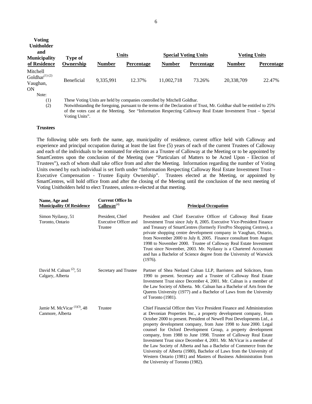| <b>Voting</b><br><b>Unitholder</b><br>and<br><b>Municipality</b> | Type of           |               | <b>Units</b>                                                             |               | <b>Special Voting Units</b> | <b>Voting Units</b> |                   |
|------------------------------------------------------------------|-------------------|---------------|--------------------------------------------------------------------------|---------------|-----------------------------|---------------------|-------------------|
| of Residence                                                     | Ownership         | <b>Number</b> | Percentage                                                               | <b>Number</b> | <b>Percentage</b>           | <b>Number</b>       | <b>Percentage</b> |
| Mitchell<br>Goldhar $(1)(2)$<br>Vaughan,<br>ON                   | <b>Beneficial</b> | 9,335,991     | 12.37%                                                                   | 11,002,718    | 73.26%                      | 20,338,709          | 22.47%            |
| Note:<br>$\left(1\right)$                                        |                   |               | These Voting Units are held by companies controlled by Mitchell Goldhar. |               |                             |                     |                   |

(2) Notwithstanding the foregoing, pursuant to the terms of the Declaration of Trust, Mr. Goldhar shall be entitled to 25% of the votes cast at the Meeting. See "Information Respecting Calloway Real Estate Investment Trust – Special Voting Units".

#### **Trustees**

The following table sets forth the name, age, municipality of residence, current office held with Calloway and experience and principal occupation during at least the last five (5) years of each of the current Trustees of Calloway and each of the individuals to be nominated for election as a Trustee of Calloway at the Meeting or to be appointed by SmartCentres upon the conclusion of the Meeting (see "Particulars of Matters to be Acted Upon - Election of Trustees"), each of whom shall take office from and after the Meeting. Information regarding the number of Voting Units owned by each individual is set forth under "Information Respecting Calloway Real Estate Investment Trust – Executive Compensation - Trustee Equity Ownership". Trustees elected at the Meeting, or appointed by SmartCentres, will hold office from and after the closing of the Meeting until the conclusion of the next meeting of Voting Unitholders held to elect Trustees, unless re-elected at that meeting.

| Name, Age and<br><b>Municipality Of Residence</b>                        | <b>Current Office In</b><br>Calloway <sup>(4)</sup>         | <b>Principal Occupation</b>                                                                                                                                                                                                                                                                                                                                                                                                                                                                                                                                                                                                                                                                                                                                    |
|--------------------------------------------------------------------------|-------------------------------------------------------------|----------------------------------------------------------------------------------------------------------------------------------------------------------------------------------------------------------------------------------------------------------------------------------------------------------------------------------------------------------------------------------------------------------------------------------------------------------------------------------------------------------------------------------------------------------------------------------------------------------------------------------------------------------------------------------------------------------------------------------------------------------------|
| Simon Nyilassy, 51<br>Toronto, Ontario                                   | President, Chief<br><b>Executive Officer and</b><br>Trustee | President and Chief Executive Officer of Calloway Real Estate<br>Investment Trust since July 8, 2005. Executive Vice-President Finance<br>and Treasury of SmartCentres (formerly FirstPro Shopping Centres), a<br>private shopping centre development company in Vaughan, Ontario,<br>from November 2000 to July 8, 2005. Finance consultant from August<br>1998 to November 2000. Trustee of Calloway Real Estate Investment<br>Trust since November, 2003. Mr. Nyilassy is a Chartered Accountant<br>and has a Bachelor of Science degree from the University of Warwick<br>(1976).                                                                                                                                                                          |
| David M. Calnan <sup><math>(2)</math></sup> , 51<br>Calgary, Alberta     | Secretary and Trustee                                       | Partner of Shea Nerland Calnan LLP, Barristers and Solicitors, from<br>1990 to present. Secretary and a Trustee of Calloway Real Estate<br>Investment Trust since December 4, 2001. Mr. Calnan is a member of<br>the Law Society of Alberta. Mr. Calnan has a Bachelor of Arts from the<br>Queens University (1977) and a Bachelor of Laws from the University<br>of Toronto (1981).                                                                                                                                                                                                                                                                                                                                                                           |
| Jamie M. McVicar <sup><math>(1)(3)</math></sup> , 48<br>Canmore, Alberta | Trustee                                                     | Chief Financial Officer then Vice President Finance and Administration<br>at Devonian Properties Inc., a property development company, from<br>October 2000 to present. President of Newell Post Developments Ltd., a<br>property development company, from June 1998 to June 2000. Legal<br>counsel for Oxford Development Group, a property development<br>company, from 1988 to June 1998. Trustee of Calloway Real Estate<br>Investment Trust since December 4, 2001. Mr. McVicar is a member of<br>the Law Society of Alberta and has a Bachelor of Commerce from the<br>University of Alberta (1980), Bachelor of Laws from the University of<br>Western Ontario (1981) and Masters of Business Administration from<br>the University of Toronto (1982). |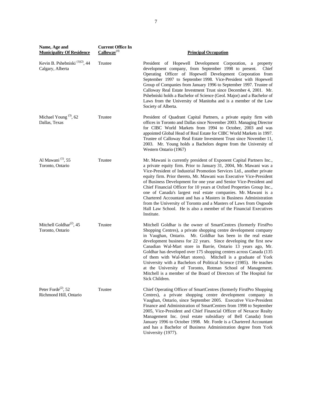| Name, Age and<br><b>Municipality Of Residence</b>                      | <b>Current Office In</b><br>$Calloway^{(4)}$ | <b>Principal Occupation</b>                                                                                                                                                                                                                                                                                                                                                                                                                                                                                                                                                                                                                                                                                                             |
|------------------------------------------------------------------------|----------------------------------------------|-----------------------------------------------------------------------------------------------------------------------------------------------------------------------------------------------------------------------------------------------------------------------------------------------------------------------------------------------------------------------------------------------------------------------------------------------------------------------------------------------------------------------------------------------------------------------------------------------------------------------------------------------------------------------------------------------------------------------------------------|
| Kevin B. Pshebniski <sup>(1)(2)</sup> , 44<br>Calgary, Alberta         | Trustee                                      | President of Hopewell Development Corporation, a property<br>development company, from September 1998 to present.<br>Chief<br>Operating Officer of Hopewell Development Corporation from<br>September 1997 to September 1998. Vice-President with Hopewell<br>Group of Companies from January 1996 to September 1997. Trustee of<br>Calloway Real Estate Investment Trust since December 4, 2001. Mr.<br>Pshebniski holds a Bachelor of Science (Geol. Major) and a Bachelor of<br>Laws from the University of Manitoba and is a member of the Law<br>Society of Alberta.                                                                                                                                                               |
| Michael Young $(3)$ , 62<br>Dallas, Texas                              | Trustee                                      | President of Quadrant Capital Partners, a private equity firm with<br>offices in Toronto and Dallas since November 2003. Managing Director<br>for CIBC World Markets from 1994 to October, 2003 and was<br>appointed Global Head of Real Estate for CIBC World Markets in 1997.<br>Trustee of Calloway Real Estate Investment Trust since November 11,<br>2003. Mr. Young holds a Bachelors degree from the University of<br>Western Ontario (1967)                                                                                                                                                                                                                                                                                     |
| Al Mawani <sup>(1)</sup> , 55<br>Toronto, Ontario                      | Trustee                                      | Mr. Mawani is currently president of Exponent Capital Partners Inc.,<br>a private equity firm. Prior to January 31, 2004, Mr. Mawani was a<br>Vice-President of Industrial Promotion Services Ltd., another private<br>equity firm. Prior thereto, Mr. Mawani was Executive Vice-President<br>of Business Development for one year and Senior Vice-President and<br>Chief Financial Officer for 10 years at Oxford Properties Group Inc.,<br>one of Canada's largest real estate companies. Mr. Mawani is a<br>Chartered Accountant and has a Masters in Business Administration<br>from the University of Toronto and a Masters of Laws from Osgoode<br>Hall Law School. He is also a member of the Financial Executives<br>Institute. |
| Mitchell Goldhar <sup><math>(2)</math></sup> , 45<br>Toronto, Ontario  | Trustee                                      | Mitchell Goldhar is the owner of SmartCentres (formerly FirstPro<br>Shopping Centres), a private shopping centre development company<br>in Vaughan, Ontario. Mr. Goldhar has been in the real estate<br>development business for 22 years. Since developing the first new<br>Canadian Wal-Mart store in Barrie, Ontario 13 years ago, Mr.<br>Goldhar has developed over 175 shopping centres across Canada (135<br>of them with Wal-Mart stores). Mitchell is a graduate of York<br>University with a Bachelors of Political Science (1985). He teaches<br>at the University of Toronto, Rotman School of Management.<br>Mitchell is a member of the Board of Directors of The Hospital for<br>Sick Children.                           |
| Peter Forde <sup><math>(2)</math></sup> , 52<br>Richmond Hill, Ontario | Trustee                                      | Chief Operating Officer of SmartCentres (formerly FirstPro Shopping<br>Centres), a private shopping centre development company in<br>Vaughan, Ontario, since September 2005. Executive Vice-President<br>Finance and Administration of SmartCentres from 1998 to September<br>2005, Vice-President and Chief Financial Officer of Nexacor Realty<br>Management Inc. (real estate subsidiary of Bell Canada) from<br>January 1996 to October 1998. Mr. Forde is a Chartered Accountant<br>and has a Bachelor of Business Administration degree from York<br>University (1977).                                                                                                                                                           |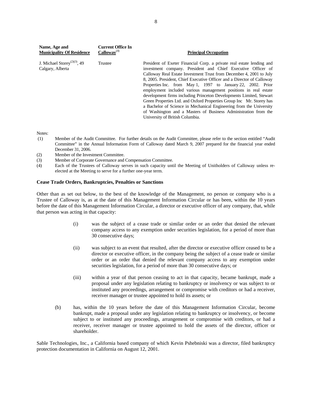| Name, Age and<br><b>Municipality Of Residence</b>            | <b>Current Office In</b><br>$Calloway^{(4)}$ | <b>Principal Occupation</b>                                                                                                                                                                                                                                                                                                                                                                                                                                                                                                                                                                                                                                                                                                                          |
|--------------------------------------------------------------|----------------------------------------------|------------------------------------------------------------------------------------------------------------------------------------------------------------------------------------------------------------------------------------------------------------------------------------------------------------------------------------------------------------------------------------------------------------------------------------------------------------------------------------------------------------------------------------------------------------------------------------------------------------------------------------------------------------------------------------------------------------------------------------------------------|
| J. Michael Storey <sup>(2)(3)</sup> , 49<br>Calgary, Alberta | Trustee                                      | President of Exeter Financial Corp. a private real estate lending and<br>investment company. President and Chief Executive Officer of<br>Calloway Real Estate Investment Trust from December 4, 2001 to July<br>8, 2005. President, Chief Executive Officer and a Director of Calloway<br>Properties Inc. from May 1, 1997 to January 22, 2002. Prior<br>employment included various management positions in real estate<br>development firms including Princeton Developments Limited, Stewart<br>Green Properties Ltd. and Oxford Properties Group Inc Mr. Storey has<br>a Bachelor of Science in Mechanical Engineering from the University<br>of Washington and a Masters of Business Administration from the<br>University of British Columbia. |

Notes:

- (1) Member of the Audit Committee. For further details on the Audit Committee, please refer to the section entitled "Audit Committee" in the Annual Information Form of Calloway dated March 9, 2007 prepared for the financial year ended December 31, 2006.
- (2) Member of the Investment Committee.
- (3) Member of Corporate Governance and Compensation Committee.
- (4) Each of the Trustees of Calloway serves in such capacity until the Meeting of Unitholders of Calloway unless reelected at the Meeting to serve for a further one-year term.

# **Cease Trade Orders, Bankruptcies, Penalties or Sanctions**

Other than as set out below, to the best of the knowledge of the Management, no person or company who is a Trustee of Calloway is, as at the date of this Management Information Circular or has been, within the 10 years before the date of this Management Information Circular, a director or executive officer of any company, that, while that person was acting in that capacity:

- (i) was the subject of a cease trade or similar order or an order that denied the relevant company access to any exemption under securities legislation, for a period of more than 30 consecutive days;
- (ii) was subject to an event that resulted, after the director or executive officer ceased to be a director or executive officer, in the company being the subject of a cease trade or similar order or an order that denied the relevant company access to any exemption under securities legislation, for a period of more than 30 consecutive days; or
- (iii) within a year of that person ceasing to act in that capacity, became bankrupt, made a proposal under any legislation relating to bankruptcy or insolvency or was subject to or instituted any proceedings, arrangement or compromise with creditors or had a receiver, receiver manager or trustee appointed to hold its assets; or
- (b) has, within the 10 years before the date of this Management Information Circular, become bankrupt, made a proposal under any legislation relating to bankruptcy or insolvency, or become subject to or instituted any proceedings, arrangement or compromise with creditors, or had a receiver, receiver manager or trustee appointed to hold the assets of the director, officer or shareholder.

Sable Technologies, Inc., a California based company of which Kevin Pshebniski was a director, filed bankruptcy protection documentation in California on August 12, 2001.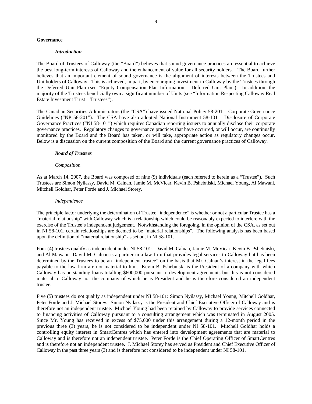#### **Governance**

#### *Introduction*

The Board of Trustees of Calloway (the "Board") believes that sound governance practices are essential to achieve the best long-term interests of Calloway and the enhancement of value for all security holders. The Board further believes that an important element of sound governance is the alignment of interests between the Trustees and Unitholders of Calloway. This is achieved, in part, by encouraging investment in Calloway by the Trustees through the Deferred Unit Plan (see "Equity Compensation Plan Information – Deferred Unit Plan"). In addition, the majority of the Trustees beneficially own a significant number of Units (see "Information Respecting Calloway Real Estate Investment Trust – Trustees").

The Canadian Securities Administrators (the "CSA") have issued National Policy 58-201 – Corporate Governance Guidelines ("NP 58-201"). The CSA have also adopted National Instrument 58-101 – Disclosure of Corporate Governance Practices ("NI 58-101") which requires Canadian reporting issuers to annually disclose their corporate governance practices. Regulatory changes to governance practices that have occurred, or will occur, are continually monitored by the Board and the Board has taken, or will take, appropriate action as regulatory changes occur. Below is a discussion on the current composition of the Board and the current governance practices of Calloway.

#### *Board of Trustees*

#### *Composition*

As at March 14, 2007, the Board was composed of nine (9) individuals (each referred to herein as a "Trustee"). Such Trustees are Simon Nyilassy, David M. Calnan, Jamie M. McVicar, Kevin B. Pshebniski, Michael Young, Al Mawani, Mitchell Goldhar, Peter Forde and J. Michael Storey.

#### *Independence*

The principle factor underlying the determination of Trustee "independence" is whether or not a particular Trustee has a "material relationship" with Calloway which is a relationship which could be reasonably expected to interfere with the exercise of the Trustee's independent judgement. Notwithstanding the foregoing, in the opinion of the CSA, as set out in NI 58-101, certain relationships are deemed to be "material relationships". The following analysis has been based upon the definition of "material relationship" as set out in NI 58-101.

Four (4) trustees qualify as independent under NI 58-101: David M. Calnan, Jamie M. McVicar, Kevin B. Pshebniski, and Al Mawani. David M. Calnan is a partner in a law firm that provides legal services to Calloway but has been determined by the Trustees to be an "independent trustee" on the basis that Mr. Calnan's interest in the legal fees payable to the law firm are not material to him. Kevin B. Pshebniski is the President of a company with which Calloway has outstanding loans totalling \$600,000 pursuant to development agreements but this is not considered material to Calloway nor the company of which he is President and he is therefore considered an independent trustee.

Five (5) trustees do not qualify as independent under NI 58-101: Simon Nyilassy, Michael Young, Mitchell Goldhar, Peter Forde and J. Michael Storey. Simon Nyilassy is the President and Chief Executive Officer of Calloway and is therefore not an independent trustee. Michael Young had been retained by Calloway to provide services connected to financing activities of Calloway pursuant to a consulting arrangement which was terminated in August 2005. Since Mr. Young has received in excess of \$75,000 under this arrangement during a 12-month period in the previous three (3) years, he is not considered to be independent under NI 58-101. Mitchell Goldhar holds a controlling equity interest in SmartCentres which has entered into development agreements that are material to Calloway and is therefore not an independent trustee. Peter Forde is the Chief Operating Officer of SmartCentres and is therefore not an independent trustee. J. Michael Storey has served as President and Chief Executive Officer of Calloway in the past three years (3) and is therefore not considered to be independent under NI 58-101.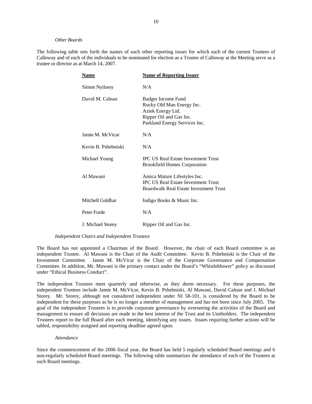#### *Other Boards*

The following table sets forth the names of each other reporting issuer for which each of the current Trustees of Calloway and of each of the individuals to be nominated for election as a Trustee of Calloway at the Meeting serve as a trustee or director as at March 14, 2007.

| <b>Name</b>         | <b>Name of Reporting Issuer</b>                                                                                                  |
|---------------------|----------------------------------------------------------------------------------------------------------------------------------|
| Simon Nyilassy      | N/A                                                                                                                              |
| David M. Calnan     | Badger Income Fund<br>Rocky Old Man Energy Inc.<br>Aztek Energy Ltd.<br>Ripper Oil and Gas Inc.<br>Parkland Energy Services Inc. |
| Jamie M. McVicar    | N/A                                                                                                                              |
| Kevin B. Pshebniski | N/A                                                                                                                              |
| Michael Young       | <b>IPC US Real Estate Investment Trust</b><br><b>Brookfield Homes Corporation</b>                                                |
| Al Mawani           | Amica Mature Lifestyles Inc.<br><b>IPC US Real Estate Investment Trust</b><br>Boardwalk Real Estate Investment Trust             |
| Mitchell Goldhar    | Indigo Books & Music Inc.                                                                                                        |
| Peter Forde         | N/A                                                                                                                              |
| J. Michael Storey   | Ripper Oil and Gas Inc.                                                                                                          |

#### *Independent Chairs and Independent Trustees*

The Board has not appointed a Chairman of the Board. However, the chair of each Board committee is an independent Trustee. Al Mawani is the Chair of the Audit Committee. Kevin B. Pshebniski is the Chair of the Investment Committee. Jamie M. McVicar is the Chair of the Corporate Governance and Compensation Committee. In addition, Mr. Mawani is the primary contact under the Board's "Whistleblower" policy as discussed under "Ethical Business Conduct".

The independent Trustees meet quarterly and otherwise, as they deem necessary. For these purposes, the independent Trustees include Jamie M. McVicar, Kevin B. Pshebniski, Al Mawani, David Calnan and J. Michael Storey. Mr. Storey, although not considered independent under NI 58-101, is considered by the Board to be independent for these purposes as he is no longer a member of management and has not been since July 2005. The goal of the independent Trustees is to provide corporate governance by overseeing the activities of the Board and management to ensure all decisions are made in the best interest of the Trust and its Unitholders. The independent Trustees report to the full Board after each meeting, identifying any issues. Issues requiring further actions will be tabled, responsibility assigned and reporting deadline agreed upon.

#### *Attendance*

Since the commencement of the 2006 fiscal year, the Board has held 5 regularly scheduled Board meetings and 6 non-regularly scheduled Board meetings. The following table summarizes the attendance of each of the Trustees at such Board meetings.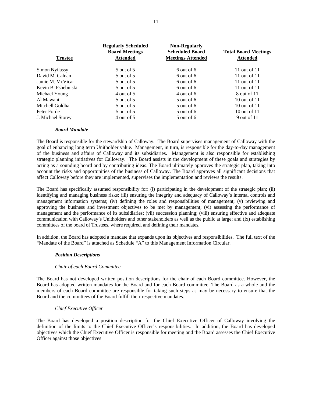| <b>Trustee</b>      | <b>Regularly Scheduled</b><br><b>Board Meetings</b><br><b>Attended</b> | <b>Non-Regularly</b><br><b>Scheduled Board</b><br><b>Meetings Attended</b> | <b>Total Board Meetings</b><br><b>Attended</b> |
|---------------------|------------------------------------------------------------------------|----------------------------------------------------------------------------|------------------------------------------------|
| Simon Nyilassy      | 5 out of 5                                                             | $6$ out of $6$                                                             | 11 out of 11                                   |
| David M. Calnan     | 5 out of 5                                                             | 6 out of 6                                                                 | 11 out of 11                                   |
| Jamie M. McVicar    | 5 out of 5                                                             | 6 out of 6                                                                 | 11 out of 11                                   |
| Kevin B. Pshebniski | 5 out of 5                                                             | $6$ out of $6$                                                             | 11 out of 11                                   |
| Michael Young       | 4 out of 5                                                             | 4 out of 6                                                                 | 8 out of 11                                    |
| Al Mawani           | 5 out of 5                                                             | $5$ out of 6                                                               | 10 out of $11$                                 |
| Mitchell Goldhar    | 5 out of 5                                                             | $5$ out of 6                                                               | 10 out of $11$                                 |
| Peter Forde         | 5 out of 5                                                             | $5$ out of 6                                                               | 10 out of 11                                   |
| J. Michael Storey   | 4 out of 5                                                             | $5$ out of 6                                                               | 9 out of 11                                    |

## *Board Mandate*

The Board is responsible for the stewardship of Calloway. The Board supervises management of Calloway with the goal of enhancing long term Unitholder value. Management, in turn, is responsible for the day-to-day management of the business and affairs of Calloway and its subsidiaries. Management is also responsible for establishing strategic planning initiatives for Calloway. The Board assists in the development of these goals and strategies by acting as a sounding board and by contributing ideas. The Board ultimately approves the strategic plan, taking into account the risks and opportunities of the business of Calloway. The Board approves all significant decisions that affect Calloway before they are implemented, supervises the implementation and reviews the results.

The Board has specifically assumed responsibility for: (i) participating in the development of the strategic plan; (ii) identifying and managing business risks; (iii) ensuring the integrity and adequacy of Calloway's internal controls and management information systems; (iv) defining the roles and responsibilities of management; (v) reviewing and approving the business and investment objectives to be met by management; (vi) assessing the performance of management and the performance of its subsidiaries; (vii) succession planning; (viii) ensuring effective and adequate communication with Calloway's Unitholders and other stakeholders as well as the public at large; and (ix) establishing committees of the board of Trustees, where required, and defining their mandates.

In addition, the Board has adopted a mandate that expands upon its objectives and responsibilities. The full text of the "Mandate of the Board" is attached as Schedule "A" to this Management Information Circular.

## *Position Descriptions*

## *Chair of each Board Committee*

The Board has not developed written position descriptions for the chair of each Board committee. However, the Board has adopted written mandates for the Board and for each Board committee. The Board as a whole and the members of each Board committee are responsible for taking such steps as may be necessary to ensure that the Board and the committees of the Board fulfill their respective mandates.

## *Chief Executive Officer*

The Board has developed a position description for the Chief Executive Officer of Calloway involving the definition of the limits to the Chief Executive Officer's responsibilities. In addition, the Board has developed objectives which the Chief Executive Officer is responsible for meeting and the Board assesses the Chief Executive Officer against those objectives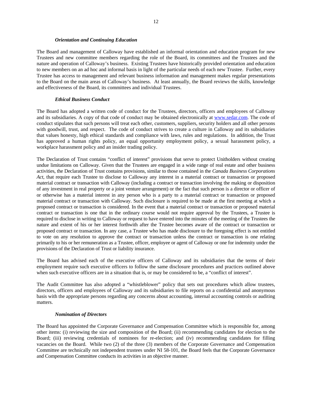#### *Orientation and Continuing Education*

The Board and management of Calloway have established an informal orientation and education program for new Trustees and new committee members regarding the role of the Board, its committees and the Trustees and the nature and operation of Calloway's business. Existing Trustees have historically provided orientation and education to new members on an ad hoc and informal basis in light of the particular needs of each new Trustee. Further, every Trustee has access to management and relevant business information and management makes regular presentations to the Board on the main areas of Calloway's business. At least annually, the Board reviews the skills, knowledge and effectiveness of the Board, its committees and individual Trustees.

#### *Ethical Business Conduct*

The Board has adopted a written code of conduct for the Trustees, directors, officers and employees of Calloway and its subsidiaries. A copy of that code of conduct may be obtained electronically at www.sedar.com. The code of conduct stipulates that such persons will treat each other, customers, suppliers, security holders and all other persons with goodwill, trust, and respect. The code of conduct strives to create a culture in Calloway and its subsidiaries that values honesty, high ethical standards and compliance with laws, rules and regulations. In addition, the Trust has approved a human rights policy, an equal opportunity employment policy, a sexual harassment policy, a workplace harassment policy and an insider trading policy.

The Declaration of Trust contains "conflict of interest" provisions that serve to protect Unitholders without creating undue limitations on Calloway. Given that the Trustees are engaged in a wide range of real estate and other business activities, the Declaration of Trust contains provisions, similar to those contained in the *Canada Business Corporations Act*, that require each Trustee to disclose to Calloway any interest in a material contract or transaction or proposed material contract or transaction with Calloway (including a contract or transaction involving the making or disposition of any investment in real property or a joint venture arrangement) or the fact that such person is a director or officer of or otherwise has a material interest in any person who is a party to a material contract or transaction or proposed material contract or transaction with Calloway. Such disclosure is required to be made at the first meeting at which a proposed contract or transaction is considered. In the event that a material contract or transaction or proposed material contract or transaction is one that in the ordinary course would not require approval by the Trustees, a Trustee is required to disclose in writing to Calloway or request to have entered into the minutes of the meeting of the Trustees the nature and extent of his or her interest forthwith after the Trustee becomes aware of the contract or transaction or proposed contract or transaction. In any case, a Trustee who has made disclosure to the foregoing effect is not entitled to vote on any resolution to approve the contract or transaction unless the contract or transaction is one relating primarily to his or her remuneration as a Trustee, officer, employee or agent of Calloway or one for indemnity under the provisions of the Declaration of Trust or liability insurance.

The Board has advised each of the executive officers of Calloway and its subsidiaries that the terms of their employment require such executive officers to follow the same disclosure procedures and practices outlined above when such executive officers are in a situation that is, or may be considered to be, a "conflict of interest".

The Audit Committee has also adopted a "whistleblower" policy that sets out procedures which allow trustees, directors, officers and employees of Calloway and its subsidiaries to file reports on a confidential and anonymous basis with the appropriate persons regarding any concerns about accounting, internal accounting controls or auditing matters.

## *Nomination of Directors*

The Board has appointed the Corporate Governance and Compensation Committee which is responsible for, among other items: (i) reviewing the size and composition of the Board; (ii) recommending candidates for election to the Board; (iii) reviewing credentials of nominees for re-election; and (iv) recommending candidates for filling vacancies on the Board. While two (2) of the three (3) members of the Corporate Governance and Compensation Committee are technically not independent trustees under NI 58-101, the Board feels that the Corporate Governance and Compensation Committee conducts its activities in an objective manner.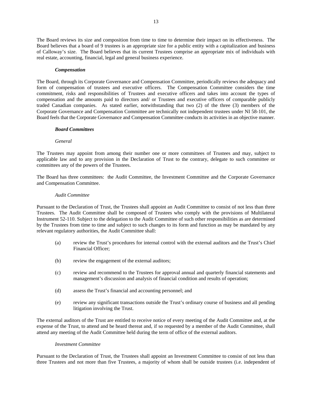The Board reviews its size and composition from time to time to determine their impact on its effectiveness. The Board believes that a board of 9 trustees is an appropriate size for a public entity with a capitalization and business of Calloway's size. The Board believes that its current Trustees comprise an appropriate mix of individuals with real estate, accounting, financial, legal and general business experience.

#### *Compensation*

The Board, through its Corporate Governance and Compensation Committee, periodically reviews the adequacy and form of compensation of trustees and executive officers. The Compensation Committee considers the time commitment, risks and responsibilities of Trustees and executive officers and takes into account the types of compensation and the amounts paid to directors and/ or Trustees and executive officers of comparable publicly traded Canadian companies. As stated earlier, notwithstanding that two (2) of the three (3) members of the Corporate Governance and Compensation Committee are technically not independent trustees under NI 58-101, the Board feels that the Corporate Governance and Compensation Committee conducts its activities in an objective manner.

## *Board Committees*

#### *General*

The Trustees may appoint from among their number one or more committees of Trustees and may, subject to applicable law and to any provision in the Declaration of Trust to the contrary, delegate to such committee or committees any of the powers of the Trustees.

The Board has three committees: the Audit Committee, the Investment Committee and the Corporate Governance and Compensation Committee.

#### *Audit Committee*

Pursuant to the Declaration of Trust, the Trustees shall appoint an Audit Committee to consist of not less than three Trustees. The Audit Committee shall be composed of Trustees who comply with the provisions of Multilateral Instrument 52-110. Subject to the delegation to the Audit Committee of such other responsibilities as are determined by the Trustees from time to time and subject to such changes to its form and function as may be mandated by any relevant regulatory authorities, the Audit Committee shall:

- (a) review the Trust's procedures for internal control with the external auditors and the Trust's Chief Financial Officer;
- (b) review the engagement of the external auditors;
- (c) review and recommend to the Trustees for approval annual and quarterly financial statements and management's discussion and analysis of financial condition and results of operation;
- (d) assess the Trust's financial and accounting personnel; and
- (e) review any significant transactions outside the Trust's ordinary course of business and all pending litigation involving the Trust.

The external auditors of the Trust are entitled to receive notice of every meeting of the Audit Committee and, at the expense of the Trust, to attend and be heard thereat and, if so requested by a member of the Audit Committee, shall attend any meeting of the Audit Committee held during the term of office of the external auditors.

#### *Investment Committee*

Pursuant to the Declaration of Trust, the Trustees shall appoint an Investment Committee to consist of not less than three Trustees and not more than five Trustees, a majority of whom shall be outside trustees (i.e. independent of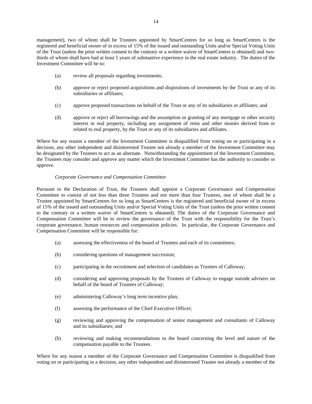management), two of whom shall be Trustees appointed by SmartCentres for so long as SmartCentres is the registered and beneficial owner of in excess of 15% of the issued and outstanding Units and/or Special Voting Units of the Trust (unless the prior written consent to the contrary or a written waiver of SmartCentres is obtained) and twothirds of whom shall have had at least 5 years of substantive experience in the real estate industry. The duties of the Investment Committee will be to:

- (a) review all proposals regarding investments;
- (b) approve or reject proposed acquisitions and dispositions of investments by the Trust or any of its subsidiaries or affiliates;
- (c) approve proposed transactions on behalf of the Trust or any of its subsidiaries or affiliates; and
- (d) approve or reject all borrowings and the assumption or granting of any mortgage or other security interest in real property, including any assignment of rents and other monies derived from or related to real property, by the Trust or any of its subsidiaries and affiliates.

Where for any reason a member of the Investment Committee is disqualified from voting on or participating in a decision, any other independent and disinterested Trustee not already a member of the Investment Committee may be designated by the Trustees to act as an alternate. Notwithstanding the appointment of the Investment Committee, the Trustees may consider and approve any matter which the Investment Committee has the authority to consider or approve.

# *Corporate Governance and Compensation Committee*

Pursuant to the Declaration of Trust, the Trustees shall appoint a Corporate Governance and Compensation Committee to consist of not less than three Trustees and not more than four Trustees, one of whom shall be a Trustee appointed by SmartCentres for so long as SmartCentres is the registered and beneficial owner of in excess of 15% of the issued and outstanding Units and/or Special Voting Units of the Trust (unless the prior written consent to the contrary or a written waiver of SmartCentres is obtained). The duties of the Corporate Governance and Compensation Committee will be to review the governance of the Trust with the responsibility for the Trust's corporate governance, human resources and compensation policies. In particular, the Corporate Governance and Compensation Committee will be responsible for:

- (a) assessing the effectiveness of the board of Trustees and each of its committees;
- (b) considering questions of management succession;
- (c) participating in the recruitment and selection of candidates as Trustees of Calloway;
- (d) considering and approving proposals by the Trustees of Calloway to engage outside advisers on behalf of the board of Trustees of Calloway;
- (e) administering Calloway's long term incentive plan;
- (f) assessing the performance of the Chief Executive Officer;
- (g) reviewing and approving the compensation of senior management and consultants of Calloway and its subsidiaries; and
- (h) reviewing and making recommendations to the board concerning the level and nature of the compensation payable to the Trustees.

Where for any reason a member of the Corporate Governance and Compensation Committee is disqualified from voting on or participating in a decision, any other independent and disinterested Trustee not already a member of the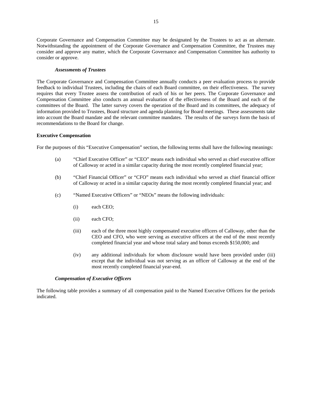Corporate Governance and Compensation Committee may be designated by the Trustees to act as an alternate. Notwithstanding the appointment of the Corporate Governance and Compensation Committee, the Trustees may consider and approve any matter, which the Corporate Governance and Compensation Committee has authority to consider or approve.

#### *Assessments of Trustees*

The Corporate Governance and Compensation Committee annually conducts a peer evaluation process to provide feedback to individual Trustees, including the chairs of each Board committee, on their effectiveness. The survey requires that every Trustee assess the contribution of each of his or her peers. The Corporate Governance and Compensation Committee also conducts an annual evaluation of the effectiveness of the Board and each of the committees of the Board. The latter survey covers the operation of the Board and its committees, the adequacy of information provided to Trustees, Board structure and agenda planning for Board meetings. These assessments take into account the Board mandate and the relevant committee mandates. The results of the surveys form the basis of recommendations to the Board for change.

#### **Executive Compensation**

For the purposes of this "Executive Compensation" section, the following terms shall have the following meanings:

- (a) "Chief Executive Officer" or "CEO" means each individual who served as chief executive officer of Calloway or acted in a similar capacity during the most recently completed financial year;
- (b) "Chief Financial Officer" or "CFO" means each individual who served as chief financial officer of Calloway or acted in a similar capacity during the most recently completed financial year; and
- (c) "Named Executive Officers" or "NEOs" means the following individuals:
	- (i) each CEO;
	- (ii) each CFO;
	- (iii) each of the three most highly compensated executive officers of Calloway, other than the CEO and CFO, who were serving as executive officers at the end of the most recently completed financial year and whose total salary and bonus exceeds \$150,000; and
	- (iv) any additional individuals for whom disclosure would have been provided under (iii) except that the individual was not serving as an officer of Calloway at the end of the most recently completed financial year-end.

#### *Compensation of Executive Officers*

The following table provides a summary of all compensation paid to the Named Executive Officers for the periods indicated.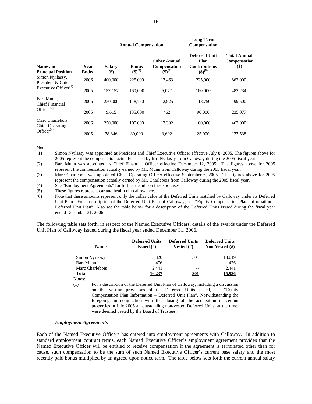|                                            |                      |                        | <b>Annual Compensation</b>  |                                                           | Compensation                                                        |                                                           |
|--------------------------------------------|----------------------|------------------------|-----------------------------|-----------------------------------------------------------|---------------------------------------------------------------------|-----------------------------------------------------------|
| Name and<br><b>Principal Position</b>      | Year<br><b>Ended</b> | <b>Salary</b><br>$($)$ | <b>Bonus</b><br>$(5)^{(4)}$ | <b>Other Annual</b><br><b>Compensation</b><br>$(5)^{(5)}$ | <b>Deferred Unit</b><br>Plan<br><b>Contributions</b><br>$(5)^{(6)}$ | <b>Total Annual</b><br><b>Compensation</b><br>$\circledS$ |
| Simon Nyilassy,<br>President & Chief       | 2006                 | 400,000                | 225,000                     | 13,463                                                    | 225,000                                                             | 862,000                                                   |
| Executive Officer <sup>(1)</sup>           | 2005                 | 157,157                | 160,000                     | 5,077                                                     | 160,000                                                             | 482,234                                                   |
| Bart Munn,<br>Chief Financial              | 2006                 | 250,000                | 118,750                     | 12,925                                                    | 118,750                                                             | 499,500                                                   |
| Office $r^{(2)}$                           | 2005                 | 9.615                  | 135,000                     | 462                                                       | 90,000                                                              | 235,077                                                   |
| Marc Charlebois,<br><b>Chief Operating</b> | 2006                 | 250,000                | 100,000                     | 13,302                                                    | 100,000                                                             | 462,000                                                   |
| Officer $(3)$                              | 2005                 | 78,846                 | 30,000                      | 3.692                                                     | 25,000                                                              | 137.538                                                   |

Notes:

(1) Simon Nyilassy was appointed as President and Chief Executive Officer effective July 8, 2005. The figures above for 2005 represent the compensation actually earned by Mr. Nyilassy from Calloway during the 2005 fiscal year.

(2) Bart Munn was appointed as Chief Financial Officer effective December 12, 2005. The figures above for 2005 represent the compensation actually earned by Mr. Munn from Calloway during the 2005 fiscal year.

(3) Marc Charlebois was appointed Chief Operating Officer effective September 6, 2005. The figures above for 2005 represent the compensation actually earned by Mr. Charlebois from Calloway during the 2005 fiscal year.

(4) See "Employment Agreements" for further details on these bonuses.

(5) These figures represent car and health club allowances.

(6) Note that these amounts represent only the dollar value of the Deferred Units matched by Calloway under its Deferred Unit Plan. For a description of the Deferred Unit Plan of Calloway, see "Equity Compensation Plan Information – Deferred Unit Plan". Also see the table below for a description of the Deferred Units issued during the fiscal year ended December 31, 2006.

The following table sets forth, in respect of the Named Executive Officers, details of the awards under the Deferred Unit Plan of Calloway issued during the fiscal year ended December 31, 2006.

| <b>Name</b>      | <b>Deferred Units</b><br><b>Issued</b> $(\#)$ | <b>Deferred Units</b><br>Vested (#) | <b>Deferred Units</b><br>Non-Vested $(\#)$ |
|------------------|-----------------------------------------------|-------------------------------------|--------------------------------------------|
| Simon Nyilassy   | 13,320                                        | 301                                 | 13,019                                     |
| <b>Bart Munn</b> | 476                                           | --                                  | 476                                        |
| Marc Charlebois  | 2,441                                         |                                     | 2.441                                      |
| <b>Total</b>     | <u>16.237</u>                                 | <u>301</u>                          | 15.936                                     |
| Notes:           |                                               |                                     |                                            |

(1) For a description of the Deferred Unit Plan of Calloway, including a discussion on the vesting provisions of the Deferred Units issued, see "Equity Compensation Plan Information – Deferred Unit Plan". Notwithstanding the foregoing, in conjunction with the closing of the acquisition of certain properties in July 2005 all outstanding non-vested Deferred Units, at the time, were deemed vested by the Board of Trustees.

# *Employment Agreements*

Each of the Named Executive Officers has entered into employment agreements with Calloway. In addition to standard employment contract terms, each Named Executive Officer's employment agreement provides that the Named Executive Officer will be entitled to receive compensation if the agreement is terminated other than for cause, such compensation to be the sum of such Named Executive Officer's current base salary and the most recently paid bonus multiplied by an agreed upon notice term. The table below sets forth the current annual salary

**Long Term**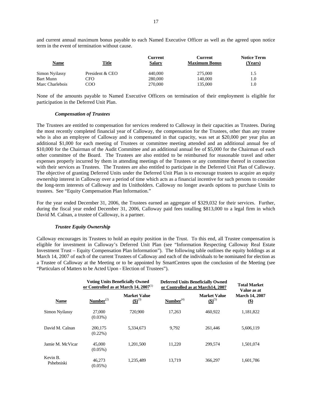and current annual maximum bonus payable to each Named Executive Officer as well as the agreed upon notice term in the event of termination without cause.

| <b>Name</b>      | <u>Title</u>    | Current<br><b>Salary</b> | Current<br><b>Maximum Bonus</b> | <b>Notice Term</b><br>(Years) |
|------------------|-----------------|--------------------------|---------------------------------|-------------------------------|
| Simon Nyilassy   | President & CEO | 440,000                  | 275,000                         | 1.5                           |
| <b>Bart Munn</b> | CFO             | 280,000                  | 140,000                         | 1.0                           |
| Marc Charlebois  | COO             | 270,000                  | 135.000                         | 1.0                           |

None of the amounts payable to Named Executive Officers on termination of their employment is eligible for participation in the Deferred Unit Plan.

# *Compensation of Trustees*

The Trustees are entitled to compensation for services rendered to Calloway in their capacities as Trustees. During the most recently completed financial year of Calloway, the compensation for the Trustees, other than any trustee who is also an employee of Calloway and is compensated in that capacity, was set at \$20,000 per year plus an additional \$1,000 for each meeting of Trustees or committee meeting attended and an additional annual fee of \$10,000 for the Chairman of the Audit Committee and an additional annual fee of \$5,000 for the Chairman of each other committee of the Board. The Trustees are also entitled to be reimbursed for reasonable travel and other expenses properly incurred by them in attending meetings of the Trustees or any committee thereof in connection with their services as Trustees. The Trustees are also entitled to participate in the Deferred Unit Plan of Calloway. The objective of granting Deferred Units under the Deferred Unit Plan is to encourage trustees to acquire an equity ownership interest in Calloway over a period of time which acts as a financial incentive for such persons to consider the long-term interests of Calloway and its Unitholders. Calloway no longer awards options to purchase Units to trustees. See "Equity Compensation Plan Information."

For the year ended December 31, 2006, the Trustees earned an aggregate of \$329,032 for their services. Further, during the fiscal year ended December 31, 2006, Calloway paid fees totalling \$813,000 to a legal firm in which David M. Calnan, a trustee of Calloway, is a partner.

## *Trustee Equity Ownership*

Calloway encourages its Trustees to hold an equity position in the Trust. To this end, all Trustee compensation is eligible for investment in Calloway's Deferred Unit Plan (see "Information Respecting Calloway Real Estate Investment Trust – Equity Compensation Plan Information"). The following table outlines the equity holdings as at March 14, 2007 of each of the current Trustees of Calloway and each of the individuals to be nominated for election as a Trustee of Calloway at the Meeting or to be appointed by SmartCentres upon the conclusion of the Meeting (see "Particulars of Matters to be Acted Upon - Election of Trustees").

|                        |                       | <b>Voting Units Beneficially Owned</b><br>or Controlled as at March 14, $2007^{(1)}$ | <b>Deferred Units Beneficially Owned</b><br>or Controlled as at March14, 2007 | <b>Total Market</b><br>Value as at |                                                       |
|------------------------|-----------------------|--------------------------------------------------------------------------------------|-------------------------------------------------------------------------------|------------------------------------|-------------------------------------------------------|
| <b>Name</b>            | Number <sup>(2)</sup> | <b>Market Value</b><br>$({\bf S})^{(3)}$                                             | Number <sup>(4)</sup>                                                         | <b>Market Value</b><br>$(5)^{(5)}$ | <b>March 14, 2007</b><br>$\left( \frac{6}{2} \right)$ |
| <b>Simon Nyilassy</b>  | 27,000<br>$(0.03\%)$  | 720,900                                                                              | 17,263                                                                        | 460.922                            | 1,181,822                                             |
| David M. Calnan        | 200,175<br>$(0.22\%)$ | 5.334,673                                                                            | 9.792                                                                         | 261.446                            | 5,606,119                                             |
| Jamie M. McVicar       | 45,000<br>$(0.05\%)$  | 1.201.500                                                                            | 11.220                                                                        | 299,574                            | 1.501.074                                             |
| Kevin B.<br>Pshebniski | 46.273<br>$(0.05\%)$  | 1.235.489                                                                            | 13.719                                                                        | 366,297                            | 1,601,786                                             |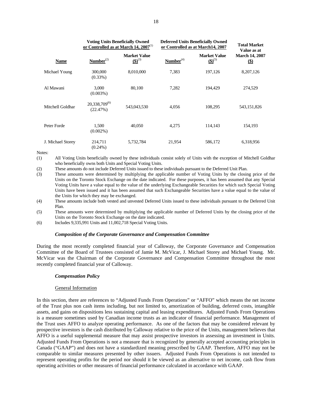|                   | <b>Voting Units Beneficially Owned</b><br>or Controlled as at March 14, $2007^{(1)}$ |                                    | <b>Deferred Units Beneficially Owned</b><br>or Controlled as at March14, 2007 | <b>Total Market</b><br>Value as at |                                      |
|-------------------|--------------------------------------------------------------------------------------|------------------------------------|-------------------------------------------------------------------------------|------------------------------------|--------------------------------------|
| <b>Name</b>       | Number <sup>(2)</sup>                                                                | <b>Market Value</b><br>$(5)^{(3)}$ | Number <sup>(4)</sup>                                                         | <b>Market Value</b><br>$(5)^{(5)}$ | <b>March 14, 2007</b><br>$\circledS$ |
| Michael Young     | 300,000<br>$(0.33\%)$                                                                | 8,010,000                          | 7,383                                                                         | 197,126                            | 8,207,126                            |
| Al Mawani         | 3,000<br>$(0.003\%)$                                                                 | 80,100                             | 7,282                                                                         | 194.429                            | 274,529                              |
| Mitchell Goldhar  | 20,338,709 <sup>(6)</sup><br>(22.47%)                                                | 543,043,530                        | 4,056                                                                         | 108,295                            | 543,151,826                          |
| Peter Forde       | 1.500<br>$(0.002\%)$                                                                 | 40,050                             | 4,275                                                                         | 114,143                            | 154,193                              |
| J. Michael Storey | 214,711<br>$(0.24\%)$                                                                | 5,732,784                          | 21,954                                                                        | 586,172                            | 6,318,956                            |

Notes:

(1) All Voting Units beneficially owned by these individuals consist solely of Units with the exception of Mitchell Goldhar who beneficially owns both Units and Special Voting Units.

(2) These amounts do not include Deferred Units issued to these individuals pursuant to the Deferred Unit Plan.

(3) These amounts were determined by multiplying the applicable number of Voting Units by the closing price of the Units on the Toronto Stock Exchange on the date indicated. For these purposes, it has been assumed that any Special Voting Units have a value equal to the value of the underlying Exchangeable Securities for which such Special Voting Units have been issued and it has been assumed that such Exchangeable Securities have a value equal to the value of the Units for which they may be exchanged.

(4) These amounts include both vested and unvested Deferred Units issued to these individuals pursuant to the Deferred Unit Plan.

(5) These amounts were determined by multiplying the applicable number of Deferred Units by the closing price of the Units on the Toronto Stock Exchange on the date indicated.

(6) Includes 9,335,991 Units and 11,002,718 Special Voting Units.

## *Composition of the Corporate Governance and Compensation Committee*

During the most recently completed financial year of Calloway, the Corporate Governance and Compensation Committee of the Board of Trustees consisted of Jamie M. McVicar, J. Michael Storey and Michael Young. Mr. McVicar was the Chairman of the Corporate Governance and Compensation Committee throughout the most recently completed financial year of Calloway.

## *Compensation Policy*

## General Information

In this section, there are references to "Adjusted Funds From Operations" or "AFFO" which means the net income of the Trust plus non cash items including, but not limited to, amortization of building, deferred costs, intangible assets, and gains on dispositions less sustaining capital and leasing expenditures. Adjusted Funds From Operations is a measure sometimes used by Canadian income trusts as an indicator of financial performance. Management of the Trust uses AFFO to analyze operating performance. As one of the factors that may be considered relevant by prospective investors is the cash distributed by Calloway relative to the price of the Units, management believes that AFFO is a useful supplemental measure that may assist prospective investors in assessing an investment in Units. Adjusted Funds From Operations is not a measure that is recognized by generally accepted accounting principles in Canada ("GAAP") and does not have a standardized meaning prescribed by GAAP. Therefore, AFFO may not be comparable to similar measures presented by other issuers. Adjusted Funds From Operations is not intended to represent operating profits for the period nor should it be viewed as an alternative to net income, cash flow from operating activities or other measures of financial performance calculated in accordance with GAAP.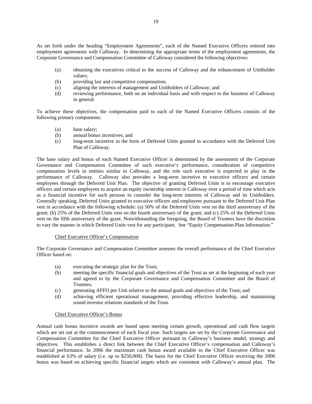As set forth under the heading "Employment Agreements", each of the Named Executive Officers entered into employment agreements with Calloway. In determining the appropriate terms of the employment agreements, the Corporate Governance and Compensation Committee of Calloway considered the following objectives:

- (a) obtaining the executives critical to the success of Calloway and the enhancement of Unitholder values;
- (b) providing fair and competitive compensation;
- (c) aligning the interests of management and Unitholders of Calloway; and
- (d) reviewing performance, both on an individual basis and with respect to the business of Calloway in general.

To achieve these objectives, the compensation paid to each of the Named Executive Officers consists of the following primary components:

- (a) base salary;
- (b) annual bonus incentives; and
- (c) long-term incentive in the form of Deferred Units granted in accordance with the Deferred Unit Plan of Calloway.

The base salary and bonus of each Named Executive Officer is determined by the assessment of the Corporate Governance and Compensation Committee of such executive's performance, consideration of competitive compensation levels in entities similar to Calloway, and the role such executive is expected to play in the performance of Calloway. Calloway also provides a long-term incentive to executive officers and certain employees through the Deferred Unit Plan. The objective of granting Deferred Units is to encourage executive officers and certain employees to acquire an equity ownership interest in Calloway over a period of time which acts as a financial incentive for such persons to consider the long-term interests of Calloway and its Unitholders. Generally speaking, Deferred Units granted to executive officers and employees pursuant to the Deferred Unit Plan vest in accordance with the following schedule: (a) 50% of the Deferred Units vest on the third anniversary of the grant; (b) 25% of the Deferred Units vest on the fourth anniversary of the grant; and (c) 25% of the Deferred Units vest on the fifth anniversary of the grant. Notwithstanding the foregoing, the Board of Trustees have the discretion to vary the manner in which Deferred Units vest for any participant. See "Equity Compensation Plan Information."

# Chief Executive Officer's Compensation

The Corporate Governance and Compensation Committee assesses the overall performance of the Chief Executive Officer based on:

- (a) executing the strategic plan for the Trust;
- (b) meeting the specific financial goals and objectives of the Trust as set at the beginning of each year and agreed to by the Corporate Governance and Compensation Committee and the Board of Trustees;
- (c) generating AFFO per Unit relative to the annual goals and objectives of the Trust; and
- (d) achieving efficient operational management, providing effective leadership, and maintaining sound investor relations standards of the Trust.

# Chief Executive Officer's Bonus

Annual cash bonus incentive awards are based upon meeting certain growth, operational and cash flow targets which are set out at the commencement of each fiscal year. Such targets are set by the Corporate Governance and Compensation Committee for the Chief Executive Officer pursuant to Calloway's business model, strategy and objectives. This establishes a direct link between the Chief Executive Officer's compensation and Calloway's financial performance. In 2006 the maximum cash bonus award available to the Chief Executive Officer was established at 63% of salary (i.e. up to \$250,000). The basis for the Chief Executive Officer receiving the 2006 bonus was based on achieving specific financial targets which are consistent with Calloway's annual plan. The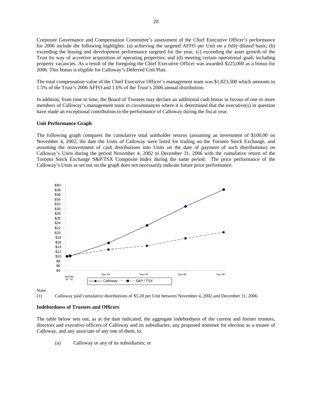Corporate Governance and Compensation Committee's assessment of the Chief Executive Officer's performance for 2006 include the following highlights: (a) achieving the targeted AFFO per Unit on a fully diluted basis; (b) exceeding the leasing and development performance targeted for the year; (c) exceeding the asset growth of the Trust by way of accretive acquisition of operating properties; and (d) meeting certain operational goals including property vacancies. As a result of the foregoing the Chief Executive Officer was awarded \$225,000 as a bonus for 2006. This bonus is eligible for Calloway's Deferred Unit Plan.

The total compensation value of the Chief Executive Officer's management team was \$1,823,500 which amounts to 1.5% of the Trust's 2006 AFFO and 1.6% of the Trust's 2006 annual distribution.

In addition, from time to time, the Board of Trustees may declare an additional cash bonus in favour of one or more members of Calloway's management team in circumstances where it is determined that the executive(s) in question have made an exceptional contribution to the performance of Calloway during the fiscal year.

#### **Unit Performance Graph**

The following graph compares the cumulative total unitholder returns (assuming an investment of \$100.00 on November 4, 2002, the date the Units of Calloway were listed for trading on the Toronto Stock Exchange, and assuming the reinvestment of cash distributions into Units on the date of payment of such distributions) on Calloway's Units during the period November 4, 2002 to December 31, 2006 with the cumulative return of the Toronto Stock Exchange S&P/TSX Composite Index during the same period. The price performance of the Calloway's Units as set out on the graph does not necessarily indicate future price performance.



Note:



#### **Indebtedness of Trustees and Officers**

The table below sets out, as at the date indicated, the aggregate indebtedness of the current and former trustees, directors and executive officers of Calloway and its subsidiaries, any proposed nominee for election as a trustee of Calloway, and any associate of any one of them, to:

(a) Calloway or any of its subsidiaries; or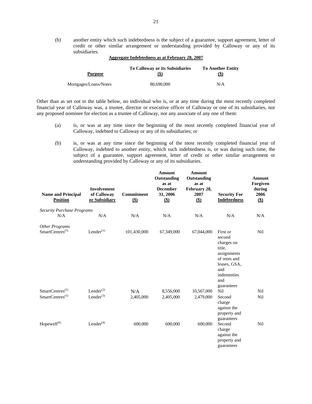(b) another entity which such indebtedness is the subject of a guarantee, support agreement, letter of credit or other similar arrangement or understanding provided by Calloway or any of its subsidiaries.

| <b>Purpose</b>        | <b>To Calloway or its Subsidiaries</b><br>(\$) | <b>To Another Entity</b><br>(\$) |  |
|-----------------------|------------------------------------------------|----------------------------------|--|
| Mortgages/Loans/Notes | 80,690,000                                     | N/A                              |  |

# **Aggregate Indebtedness as at February 28, 2007**

Other than as set out in the table below, no individual who is, or at any time during the most recently completed financial year of Calloway was, a trustee, director or executive officer of Calloway or one of its subsidiaries, nor any proposed nominee for election as a trustee of Calloway, nor any associate of any one of them:

- (a) is, or was at any time since the beginning of the most recently completed financial year of Calloway, indebted to Calloway or any of its subsidiaries; or
- (b) is, or was at any time since the beginning of the most recently completed financial year of Calloway, indebted to another entity, which such indebtedness is, or was during such time, the subject of a guarantee, support agreement, letter of credit or other similar arrangement or understanding provided by Calloway or any of its subsidiaries.

| <b>Name and Principal</b><br><b>Position</b>         | <b>Involvement</b><br>of Calloway<br>or Subsidiary | <b>Commitment</b><br>$($)$ | <b>Amount</b><br>Outstanding<br>as at<br><b>December</b><br>31, 2006<br>\$) | <b>Amount</b><br>Outstanding<br>as at<br>February 28,<br>2007<br>\$) | <b>Security For</b><br><b>Indebtedness</b>                                                                                           | <b>Amount</b><br>Forgiven<br>during<br>2006<br>$($)$ |
|------------------------------------------------------|----------------------------------------------------|----------------------------|-----------------------------------------------------------------------------|----------------------------------------------------------------------|--------------------------------------------------------------------------------------------------------------------------------------|------------------------------------------------------|
| <b>Security Purchase Programs</b><br>N/A             | N/A                                                | N/A                        | N/A                                                                         | N/A                                                                  | N/A                                                                                                                                  | N/A                                                  |
|                                                      |                                                    |                            |                                                                             |                                                                      |                                                                                                                                      |                                                      |
| <b>Other Programs</b><br>SmartCentres <sup>(5)</sup> | $Lender$ <sup>(1)</sup>                            | 101,430,000                | 67,349,000                                                                  | 67,044,000                                                           | First or<br>second<br>charges on<br>title,<br>assignments<br>of rents and<br>leases, GSA,<br>and<br>indemnities<br>and<br>guarantees | Nil                                                  |
| SmartCentres <sup>(5)</sup>                          | Lender $^{(2)}$                                    | N/A                        | 8,556,000                                                                   | 10,567,000                                                           | Nil                                                                                                                                  | Nil                                                  |
| SmartCentres $(5)$                                   | Lender $^{(3)}$                                    | 2,405,000                  | 2,405,000                                                                   | 2,479,000                                                            | Second<br>charge<br>against the<br>property and<br>guarantees                                                                        | Nil                                                  |
| Hopewell <sup>(6)</sup>                              | Lender <sup>(4)</sup>                              | 600,000                    | 600,000                                                                     | 600,000                                                              | Second<br>charge<br>against the<br>property and<br>guarantees                                                                        | Nil                                                  |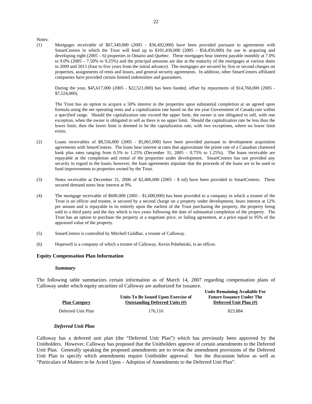Notes:

(1) Mortgages receivable of \$67,349,000 (2005 - \$36,492,000) have been provided pursuant to agreements with SmartCentres in which the Trust will lend up to \$101,430,000 (2005 - \$54,450,000) for use in acquiring and developing eight (2005 – 6) properties in Ontario and Quebec. These mortgages bear interest payable monthly at 7.0% to 9.0% (2005 – 7.50% to 9.25%) and the principal amounts are due at the maturity of the mortgages at various dates in 2009 and 2011 (four to five years from the initial advance). The mortgages are secured by first or second charges on properties, assignments of rents and leases, and general security agreements. In addition, other SmartCentres affiliated companies have provided certain limited indemnities and guarantees.

During the year, \$45,617,000 (2005 - \$22,521,000) has been funded, offset by repayments of \$14,760,000 (2005 - \$7,524,000).

The Trust has an option to acquire a 50% interest in the properties upon substantial completion at an agreed upon formula using the net operating rents and a capitalization rate based on the ten year Government of Canada rate within a specified range. Should the capitalization rate exceed the upper limit, the owner is not obligated to sell, with one exception, when the owner is obligated to sell as there is no upper limit. Should the capitalization rate be less than the lower limit, then the lower limit is deemed to be the capitalization rate, with two exceptions, where no lower limit exists.

- (2) Loans receivables of \$8,556,000 (2005 \$5,061,000) have been provided pursuant to development acquisition agreements with SmartCentres. The loans bear interest at rates that approximate the prime rate of a Canadian chartered bank plus rates ranging from 0.5% to 1.25% (December 31, 2005 – 0.75% to 1.25%). The loans receivable are repayable at the completion and rental of the properties under development. SmartCentres has not provided any security in regard to the loans; however, the loan agreements stipulate that the proceeds of the loans are to be used to fund improvements to properties owned by the Trust.
- (3) Notes receivable at December 31, 2006 of \$2,406,000 (2005 \$ nil) have been provided to SmartCentres. These secured demand notes bear interest at 9%.
- (4) The mortgage receivable of \$600,000 (2005 \$1,600,000) has been provided to a company in which a trustee of the Trust is an officer and trustee, is secured by a second charge on a property under development, bears interest at 12% per annum and is repayable in its entirely upon the earliest of the Trust purchasing the property, the property being sold to a third party and the day which is two years following the date of substantial completion of the property. The Trust has an option to purchase the property at a negotiate price, or failing agreement, at a price equal to 95% of the appraised value of the property.
- (5) SmartCentres is controlled by Mitchell Goldhar, a trustee of Calloway.
- (6) Hopewell is a company of which a trustee of Calloway, Kevin Pshebniski, is an officer.

#### **Equity Compensation Plan Information**

#### *Summary*

The following table summarizes certain information as of March 14, 2007 regarding compensation plans of Calloway under which equity securities of Calloway are authorized for issuance.

| <b>Plan Category</b> | Units To Be Issued Upon Exercise of<br><b>Outstanding Deferred Units (#)</b> | Ullits Kunlanning Avanabit Pol<br><b>Future Issuance Under The</b><br>Deferred Unit Plan (#) |  |  |
|----------------------|------------------------------------------------------------------------------|----------------------------------------------------------------------------------------------|--|--|
| Deferred Unit Plan   | 176.116                                                                      | 823.884                                                                                      |  |  |

**Units Remaining Available For** 

## *Deferred Unit Plan*

Calloway has a deferred unit plan (the "Deferred Unit Plan") which has previously been approved by the Unitholders. However, Calloway has proposed that the Unitholders approve of certain amendments to the Deferred Unit Plan. Generally speaking the proposed amendments are to revise the amendment provisions of the Deferred Unit Plan to specify which amendments require Unitholder approval. See the discussion below as well as "Particulars of Matters to be Acted Upon – Adoption of Amendments to the Deferred Unit Plan".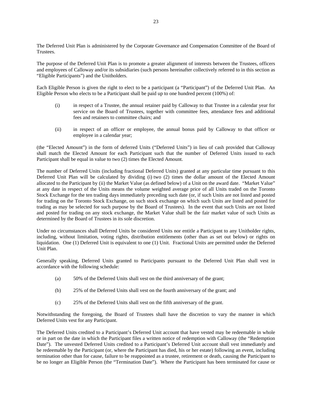The Deferred Unit Plan is administered by the Corporate Governance and Compensation Committee of the Board of Trustees.

The purpose of the Deferred Unit Plan is to promote a greater alignment of interests between the Trustees, officers and employees of Calloway and/or its subsidiaries (such persons hereinafter collectively referred to in this section as "Eligible Participants") and the Unitholders.

Each Eligible Person is given the right to elect to be a participant (a "Participant") of the Deferred Unit Plan. An Eligible Person who elects to be a Participant shall be paid up to one hundred percent (100%) of:

- (i) in respect of a Trustee, the annual retainer paid by Calloway to that Trustee in a calendar year for service on the Board of Trustees, together with committee fees, attendance fees and additional fees and retainers to committee chairs; and
- (ii) in respect of an officer or employee, the annual bonus paid by Calloway to that officer or employee in a calendar year;

(the "Elected Amount") in the form of deferred Units ("Deferred Units") in lieu of cash provided that Calloway shall match the Elected Amount for each Participant such that the number of Deferred Units issued to each Participant shall be equal in value to two (2) times the Elected Amount.

The number of Deferred Units (including fractional Deferred Units) granted at any particular time pursuant to this Deferred Unit Plan will be calculated by dividing (i) two (2) times the dollar amount of the Elected Amount allocated to the Participant by (ii) the Market Value (as defined below) of a Unit on the award date. "Market Value" at any date in respect of the Units means the volume weighted average price of all Units traded on the Toronto Stock Exchange for the ten trading days immediately preceding such date (or, if such Units are not listed and posted for trading on the Toronto Stock Exchange, on such stock exchange on which such Units are listed and posted for trading as may be selected for such purpose by the Board of Trustees). In the event that such Units are not listed and posted for trading on any stock exchange, the Market Value shall be the fair market value of such Units as determined by the Board of Trustees in its sole discretion.

Under no circumstances shall Deferred Units be considered Units nor entitle a Participant to any Unitholder rights, including, without limitation, voting rights, distribution entitlements (other than as set out below) or rights on liquidation. One (1) Deferred Unit is equivalent to one (1) Unit. Fractional Units are permitted under the Deferred Unit Plan.

Generally speaking, Deferred Units granted to Participants pursuant to the Deferred Unit Plan shall vest in accordance with the following schedule:

- (a) 50% of the Deferred Units shall vest on the third anniversary of the grant;
- (b) 25% of the Deferred Units shall vest on the fourth anniversary of the grant; and
- (c) 25% of the Deferred Units shall vest on the fifth anniversary of the grant.

Notwithstanding the foregoing, the Board of Trustees shall have the discretion to vary the manner in which Deferred Units vest for any Participant.

The Deferred Units credited to a Participant's Deferred Unit account that have vested may be redeemable in whole or in part on the date in which the Participant files a written notice of redemption with Calloway (the "Redemption Date"). The unvested Deferred Units credited to a Participant's Deferred Unit account shall vest immediately and be redeemable by the Participant (or, where the Participant has died, his or her estate) following an event, including termination other than for cause, failure to be reappointed as a trustee, retirement or death, causing the Participant to be no longer an Eligible Person (the "Termination Date"). Where the Participant has been terminated for cause or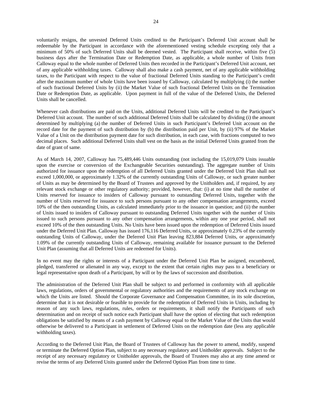voluntarily resigns, the unvested Deferred Units credited to the Participant's Deferred Unit account shall be redeemable by the Participant in accordance with the aforementioned vesting schedule excepting only that a minimum of 50% of such Deferred Units shall be deemed vested. The Participant shall receive, within five (5) business days after the Termination Date or Redemption Date, as applicable, a whole number of Units from Calloway equal to the whole number of Deferred Units then recorded in the Participant's Deferred Unit account, net of any applicable withholding taxes. Calloway shall also make a cash payment, net of any applicable withholding taxes, to the Participant with respect to the value of fractional Deferred Units standing to the Participant's credit after the maximum number of whole Units have been issued by Calloway, calculated by multiplying (i) the number of such fractional Deferred Units by (ii) the Market Value of such fractional Deferred Units on the Termination Date or Redemption Date, as applicable. Upon payment in full of the value of the Deferred Units, the Deferred Units shall be cancelled.

Whenever cash distributions are paid on the Units, additional Deferred Units will be credited to the Participant's Deferred Unit account. The number of such additional Deferred Units shall be calculated by dividing (i) the amount determined by multiplying (a) the number of Deferred Units in such Participant's Deferred Unit account on the record date for the payment of such distribution by (b) the distribution paid per Unit, by (ii) 97% of the Market Value of a Unit on the distribution payment date for such distribution, in each case, with fractions computed to two decimal places. Such additional Deferred Units shall vest on the basis as the initial Deferred Units granted from the date of grant of same.

As of March 14, 2007, Calloway has 75,489,446 Units outstanding (not including the 15,019,079 Units issuable upon the exercise or conversion of the Exchangeable Securities outstanding). The aggregate number of Units authorized for issuance upon the redemption of all Deferred Units granted under the Deferred Unit Plan shall not exceed 1,000,000, or approximately 1.32% of the currently outstanding Units of Calloway, or such greater number of Units as may be determined by the Board of Trustees and approved by the Unitholders and, if required, by any relevant stock exchange or other regulatory authority; provided, however, that: (i) at no time shall the number of Units reserved for issuance to insiders of Calloway pursuant to outstanding Deferred Units, together with the number of Units reserved for issuance to such persons pursuant to any other compensation arrangements, exceed 10% of the then outstanding Units, as calculated immediately prior to the issuance in question; and (ii) the number of Units issued to insiders of Calloway pursuant to outstanding Deferred Units together with the number of Units issued to such persons pursuant to any other compensation arrangements, within any one year period, shall not exceed 10% of the then outstanding Units. No Units have been issued upon the redemption of Deferred Units issued under the Deferred Unit Plan. Calloway has issued 176,116 Deferred Units, or approximately 0.23% of the currently outstanding Units of Calloway, under the Deferred Unit Plan leaving 823,884 Deferred Units, or approximately 1.09% of the currently outstanding Units of Calloway, remaining available for issuance pursuant to the Deferred Unit Plan (assuming that all Deferred Units are redeemed for Units).

In no event may the rights or interests of a Participant under the Deferred Unit Plan be assigned, encumbered, pledged, transferred or alienated in any way, except to the extent that certain rights may pass to a beneficiary or legal representative upon death of a Participant, by will or by the laws of succession and distribution.

The administration of the Deferred Unit Plan shall be subject to and performed in conformity with all applicable laws, regulations, orders of governmental or regulatory authorities and the requirements of any stock exchange on which the Units are listed. Should the Corporate Governance and Compensation Committee, in its sole discretion, determine that it is not desirable or feasible to provide for the redemption of Deferred Units in Units, including by reason of any such laws, regulations, rules, orders or requirements, it shall notify the Participants of such determination and on receipt of such notice each Participant shall have the option of electing that such redemption obligations be satisfied by means of a cash payment by Calloway equal to the Market Value of the Units that would otherwise be delivered to a Participant in settlement of Deferred Units on the redemption date (less any applicable withholding taxes).

According to the Deferred Unit Plan, the Board of Trustees of Calloway has the power to amend, modify, suspend or terminate the Deferred Option Plan, subject to any necessary regulatory and Unitholder approvals. Subject to the receipt of any necessary regulatory or Unitholder approvals, the Board of Trustees may also at any time amend or revise the terms of any Deferred Units granted under the Deferred Option Plan from time to time.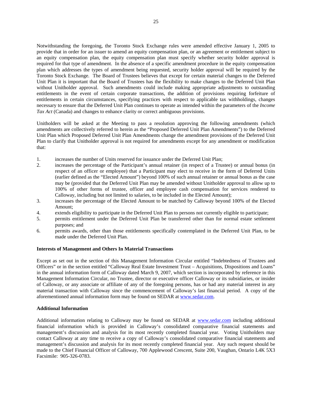Notwithstanding the foregoing, the Toronto Stock Exchange rules were amended effective January 1, 2005 to provide that in order for an issuer to amend an equity compensation plan, or an agreement or entitlement subject to an equity compensation plan, the equity compensation plan must specify whether security holder approval is required for that type of amendment. In the absence of a specific amendment procedure in the equity compensation plan which addresses the types of amendment being requested, security holder approval will be required by the Toronto Stock Exchange. The Board of Trustees believes that except for certain material changes to the Deferred Unit Plan it is important that the Board of Trustees has the flexibility to make changes to the Deferred Unit Plan without Unitholder approval. Such amendments could include making appropriate adjustments to outstanding entitlements in the event of certain corporate transactions, the addition of provisions requiring forfeiture of entitlements in certain circumstances, specifying practices with respect to applicable tax withholdings, changes necessary to ensure that the Deferred Unit Plan continues to operate as intended within the parameters of the *Income Tax Act* (Canada) and changes to enhance clarity or correct ambiguous provisions.

Unitholders will be asked at the Meeting to pass a resolution approving the following amendments (which amendments are collectively referred to herein as the "Proposed Deferred Unit Plan Amendments") to the Deferred Unit Plan which Proposed Deferred Unit Plan Amendments change the amendment provisions of the Deferred Unit Plan to clarify that Unitholder approval is not required for amendments except for any amendment or modification that:

- 1. increases the number of Units reserved for issuance under the Deferred Unit Plan;
- 2. increases the percentage of the Participant's annual retainer (in respect of a Trustee) or annual bonus (in respect of an officer or employee) that a Participant may elect to receive in the form of Deferred Units (earlier defined as the "Elected Amount") beyond 100% of such annual retainer or annual bonus as the case may be (provided that the Deferred Unit Plan may be amended without Unitholder approval to allow up to 100% of other forms of trustee, officer and employee cash compensation for services rendered to Calloway, including but not limited to salaries, to be included in the Elected Amount);
- 3. increases the percentage of the Elected Amount to be matched by Calloway beyond 100% of the Elected Amount;
- 4. extends eligibility to participate in the Deferred Unit Plan to persons not currently eligible to participate;
- 5. permits entitlement under the Deferred Unit Plan be transferred other than for normal estate settlement purposes; and
- 6. permits awards, other than those entitlements specifically contemplated in the Deferred Unit Plan, to be made under the Deferred Unit Plan.

## **Interests of Management and Others In Material Transactions**

Except as set out in the section of this Management Information Circular entitled "Indebtedness of Trustees and Officers" or in the section entitled "Calloway Real Estate Investment Trust – Acquisitions, Dispositions and Loans" in the annual information form of Calloway dated March 9, 2007, which section is incorporated by reference in this Management Information Circular, no Trustee, director or executive officer Calloway or its subsidiaries, or insider of Calloway, or any associate or affiliate of any of the foregoing persons, has or had any material interest in any material transaction with Calloway since the commencement of Calloway's last financial period. A copy of the aforementioned annual information form may be found on SEDAR at www.sedar.com.

## **Additional Information**

Additional information relating to Calloway may be found on SEDAR at www.sedar.com including additional financial information which is provided in Calloway's consolidated comparative financial statements and management's discussion and analysis for its most recently completed financial year. Voting Unitholders may contact Calloway at any time to receive a copy of Calloway's consolidated comparative financial statements and management's discussion and analysis for its most recently completed financial year. Any such request should be made to the Chief Financial Officer of Calloway, 700 Applewood Crescent, Suite 200, Vaughan, Ontario L4K 5X3 Facsimile: 905-326-0783.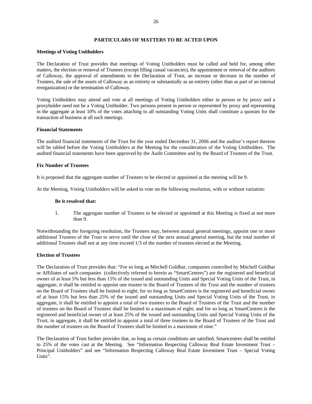## **PARTICULARS OF MATTERS TO BE ACTED UPON**

#### **Meetings of Voting Unitholders**

The Declaration of Trust provides that meetings of Voting Unitholders must be called and held for, among other matters, the election or removal of Trustees (except filling casual vacancies), the appointment or removal of the auditors of Calloway, the approval of amendments to the Declaration of Trust, an increase or decrease in the number of Trustees, the sale of the assets of Calloway as an entirety or substantially as an entirety (other than as part of an internal reorganization) or the termination of Calloway.

Voting Unitholders may attend and vote at all meetings of Voting Unitholders either in person or by proxy and a proxyholder need not be a Voting Unitholder. Two persons present in person or represented by proxy and representing in the aggregate at least 10% of the votes attaching to all outstanding Voting Units shall constitute a quorum for the transaction of business at all such meetings.

#### **Financial Statements**

The audited financial statements of the Trust for the year ended December 31, 2006 and the auditor's report thereon will be tabled before the Voting Unitholders at the Meeting for the consideration of the Voting Unitholders. The audited financial statements have been approved by the Audit Committee and by the Board of Trustees of the Trust.

#### **Fix Number of Trustees**

It is proposed that the aggregate number of Trustees to be elected or appointed at the meeting will be 9.

At the Meeting, Voting Unitholders will be asked to vote on the following resolution, with or without variation:

#### **Be it resolved that:**

1. The aggregate number of Trustees to be elected or appointed at this Meeting is fixed at not more than 9.

Notwithstanding the foregoing resolution, the Trustees may, between annual general meetings, appoint one or more additional Trustees of the Trust to serve until the close of the next annual general meeting, but the total number of additional Trustees shall not at any time exceed 1/3 of the number of trustees elected at the Meeting.

#### **Election of Trustees**

The Declaration of Trust provides that: "For so long as Mitchell Goldhar, companies controlled by Mitchell Goldhar or Affiliates of such companies (collectively referred to herein as "SmartCentres") are the registered and beneficial owner of at least 5% but less than 15% of the issued and outstanding Units and Special Voting Units of the Trust, in aggregate, it shall be entitled to appoint one trustee to the Board of Trustees of the Trust and the number of trustees on the Board of Trustees shall be limited to eight; for so long as SmartCentres is the registered and beneficial owner of at least 15% but less than 25% of the issued and outstanding Units and Special Voting Units of the Trust, in aggregate, it shall be entitled to appoint a total of two trustees to the Board of Trustees of the Trust and the number of trustees on the Board of Trustees shall be limited to a maximum of eight; and for so long as SmartCentres is the registered and beneficial owner of at least 25% of the issued and outstanding Units and Special Voting Units of the Trust, in aggregate, it shall be entitled to appoint a total of three trustees to the Board of Trustees of the Trust and the number of trustees on the Board of Trustees shall be limited to a maximum of nine."

The Declaration of Trust further provides that, so long as certain conditions are satisfied, Smartcentres shall be entitled to 25% of the votes cast at the Meeting. See "Information Respecting Calloway Real Estate Investment Trust – Principal Unitholders" and see "Information Respecting Calloway Real Estate Investment Trust – Special Voting Units".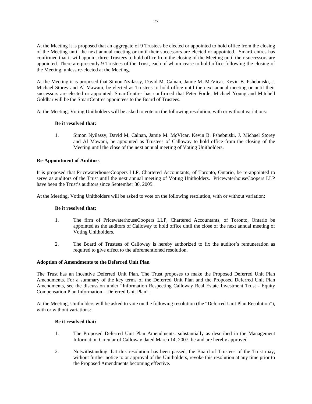At the Meeting it is proposed that an aggregate of 9 Trustees be elected or appointed to hold office from the closing of the Meeting until the next annual meeting or until their successors are elected or appointed. SmartCentres has confirmed that it will appoint three Trustees to hold office from the closing of the Meeting until their successors are appointed. There are presently 9 Trustees of the Trust, each of whom cease to hold office following the closing of the Meeting, unless re-elected at the Meeting.

At the Meeting it is proposed that Simon Nyilassy, David M. Calnan, Jamie M. McVicar, Kevin B. Pshebniski, J. Michael Storey and Al Mawani, be elected as Trustees to hold office until the next annual meeting or until their successors are elected or appointed. SmartCentres has confirmed that Peter Forde, Michael Young and Mitchell Goldhar will be the SmartCentres appointees to the Board of Trustees.

At the Meeting, Voting Unitholders will be asked to vote on the following resolution, with or without variations:

# **Be it resolved that:**

1. Simon Nyilassy, David M. Calnan, Jamie M. McVicar, Kevin B. Pshebniski, J. Michael Storey and Al Mawani, be appointed as Trustees of Calloway to hold office from the closing of the Meeting until the close of the next annual meeting of Voting Unitholders.

# **Re-Appointment of Auditors**

It is proposed that PricewaterhouseCoopers LLP, Chartered Accountants, of Toronto, Ontario, be re-appointed to serve as auditors of the Trust until the next annual meeting of Voting Unitholders. PricewaterhouseCoopers LLP have been the Trust's auditors since September 30, 2005.

At the Meeting, Voting Unitholders will be asked to vote on the following resolution, with or without variation:

## **Be it resolved that:**

- 1. The firm of PricewaterhouseCoopers LLP, Chartered Accountants, of Toronto, Ontario be appointed as the auditors of Calloway to hold office until the close of the next annual meeting of Voting Unitholders.
- 2. The Board of Trustees of Calloway is hereby authorized to fix the auditor's remuneration as required to give effect to the aforementioned resolution.

## **Adoption of Amendments to the Deferred Unit Plan**

The Trust has an incentive Deferred Unit Plan. The Trust proposes to make the Proposed Deferred Unit Plan Amendments. For a summary of the key terms of the Deferred Unit Plan and the Proposed Deferred Unit Plan Amendments, see the discussion under "Information Respecting Calloway Real Estate Investment Trust - Equity Compensation Plan Information – Deferred Unit Plan".

At the Meeting, Unitholders will be asked to vote on the following resolution (the "Deferred Unit Plan Resolution"), with or without variations:

## **Be it resolved that:**

- 1. The Proposed Deferred Unit Plan Amendments, substantially as described in the Management Information Circular of Calloway dated March 14, 2007, be and are hereby approved.
- 2. Notwithstanding that this resolution has been passed, the Board of Trustees of the Trust may, without further notice to or approval of the Unitholders, revoke this resolution at any time prior to the Proposed Amendments becoming effective.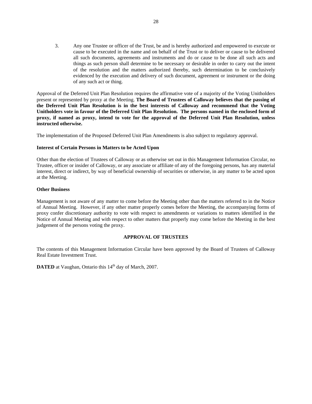3. Any one Trustee or officer of the Trust, be and is hereby authorized and empowered to execute or cause to be executed in the name and on behalf of the Trust or to deliver or cause to be delivered all such documents, agreements and instruments and do or cause to be done all such acts and things as such person shall determine to be necessary or desirable in order to carry out the intent of the resolution and the matters authorized thereby, such determination to be conclusively evidenced by the execution and delivery of such document, agreement or instrument or the doing of any such act or thing.

Approval of the Deferred Unit Plan Resolution requires the affirmative vote of a majority of the Voting Unitholders present or represented by proxy at the Meeting. **The Board of Trustees of Calloway believes that the passing of the Deferred Unit Plan Resolution is in the best interests of Calloway and recommend that the Voting Unitholders vote in favour of the Deferred Unit Plan Resolution. The persons named in the enclosed form of proxy, if named as proxy, intend to vote for the approval of the Deferred Unit Plan Resolution, unless instructed otherwise.**

The implementation of the Proposed Deferred Unit Plan Amendments is also subject to regulatory approval.

# **Interest of Certain Persons in Matters to be Acted Upon**

Other than the election of Trustees of Calloway or as otherwise set out in this Management Information Circular, no Trustee, officer or insider of Calloway, or any associate or affiliate of any of the foregoing persons, has any material interest, direct or indirect, by way of beneficial ownership of securities or otherwise, in any matter to be acted upon at the Meeting.

## **Other Business**

Management is not aware of any matter to come before the Meeting other than the matters referred to in the Notice of Annual Meeting. However, if any other matter properly comes before the Meeting, the accompanying forms of proxy confer discretionary authority to vote with respect to amendments or variations to matters identified in the Notice of Annual Meeting and with respect to other matters that properly may come before the Meeting in the best judgement of the persons voting the proxy.

## **APPROVAL OF TRUSTEES**

The contents of this Management Information Circular have been approved by the Board of Trustees of Calloway Real Estate Investment Trust.

**DATED** at Vaughan, Ontario this 14<sup>th</sup> day of March, 2007.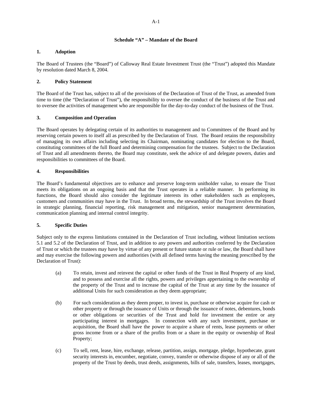# **Schedule "A" – Mandate of the Board**

# **1. Adoption**

The Board of Trustees (the "Board") of Calloway Real Estate Investment Trust (the "Trust") adopted this Mandate by resolution dated March 8, 2004.

# **2. Policy Statement**

The Board of the Trust has, subject to all of the provisions of the Declaration of Trust of the Trust, as amended from time to time (the "Declaration of Trust"), the responsibility to oversee the conduct of the business of the Trust and to oversee the activities of management who are responsible for the day-to-day conduct of the business of the Trust.

# **3. Composition and Operation**

The Board operates by delegating certain of its authorities to management and to Committees of the Board and by reserving certain powers to itself all as prescribed by the Declaration of Trust. The Board retains the responsibility of managing its own affairs including selecting its Chairman, nominating candidates for election to the Board, constituting committees of the full Board and determining compensation for the trustees. Subject to the Declaration of Trust and all amendments thereto, the Board may constitute, seek the advice of and delegate powers, duties and responsibilities to committees of the Board.

# **4. Responsibilities**

The Board's fundamental objectives are to enhance and preserve long-term unitholder value, to ensure the Trust meets its obligations on an ongoing basis and that the Trust operates in a reliable manner. In performing its functions, the Board should also consider the legitimate interests its other stakeholders such as employees, customers and communities may have in the Trust. In broad terms, the stewardship of the Trust involves the Board in strategic planning, financial reporting, risk management and mitigation, senior management determination, communication planning and internal control integrity.

# **5. Specific Duties**

Subject only to the express limitations contained in the Declaration of Trust including, without limitation sections 5.1 and 5.2 of the Declaration of Trust, and in addition to any powers and authorities conferred by the Declaration of Trust or which the trustees may have by virtue of any present or future statute or rule or law, the Board shall have and may exercise the following powers and authorities (with all defined terms having the meaning prescribed by the Declaration of Trust):

- (a) To retain, invest and reinvest the capital or other funds of the Trust in Real Property of any kind, and to possess and exercise all the rights, powers and privileges appertaining to the ownership of the property of the Trust and to increase the capital of the Trust at any time by the issuance of additional Units for such consideration as they deem appropriate;
- (b) For such consideration as they deem proper, to invest in, purchase or otherwise acquire for cash or other property or through the issuance of Units or through the issuance of notes, debentures, bonds or other obligations or securities of the Trust and hold for investment the entire or any participating interest in mortgages. In connection with any such investment, purchase or acquisition, the Board shall have the power to acquire a share of rents, lease payments or other gross income from or a share of the profits from or a share in the equity or ownership of Real Property;
- (c) To sell, rent, lease, hire, exchange, release, partition, assign, mortgage, pledge, hypothecate, grant security interests in, encumber, negotiate, convey, transfer or otherwise dispose of any or all of the property of the Trust by deeds, trust deeds, assignments, bills of sale, transfers, leases, mortgages,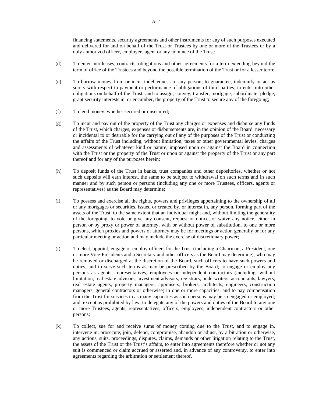financing statements, security agreements and other instruments for any of such purposes executed and delivered for and on behalf of the Trust or Trustees by one or more of the Trustees or by a duly authorized officer, employee, agent or any nominee of the Trust;

- (d) To enter into leases, contracts, obligations and other agreements for a term extending beyond the term of office of the Trustees and beyond the possible termination of the Trust or for a lesser term;
- (e) To borrow money from or incur indebtedness to any person; to guarantee, indemnify or act as surety with respect to payment or performance of obligations of third parties; to enter into other obligations on behalf of the Trust; and to assign, convey, transfer, mortgage, subordinate, pledge, grant security interests in, or encumber, the property of the Trust to secure any of the foregoing;
- (f) To lend money, whether secured or unsecured;
- (g) To incur and pay out of the property of the Trust any charges or expenses and disburse any funds of the Trust, which charges, expenses or disbursements are, in the opinion of the Board, necessary or incidental to or desirable for the carrying out of any of the purposes of the Trust or conducting the affairs of the Trust including, without limitation, taxes or other governmental levies, charges and assessments of whatever kind or nature, imposed upon or against the Board in connection with the Trust or the property of the Trust or upon or against the property of the Trust or any part thereof and for any of the purposes herein;
- (h) To deposit funds of the Trust in banks, trust companies and other depositories, whether or not such deposits will earn interest, the same to be subject to withdrawal on such terms and in such manner and by such person or persons (including any one or more Trustees, officers, agents or representatives) as the Board may determine;
- (i) To possess and exercise all the rights, powers and privileges appertaining to the ownership of all or any mortgages or securities, issued or created by, or interest in, any person, forming part of the assets of the Trust, to the same extent that an individual might and, without limiting the generality of the foregoing, to vote or give any consent, request or notice, or waive any notice, either in person or by proxy or power of attorney, with or without power of substitution, to one or more persons, which proxies and powers of attorney may be for meetings or action generally or for any particular meeting or action and may include the exercise of discretionary power;
- (j) To elect, appoint, engage or employ officers for the Trust (including a Chairman, a President, one or more Vice-Presidents and a Secretary and other officers as the Board may determine), who may be removed or discharged at the discretion of the Board, such officers to have such powers and duties, and to serve such terms as may be prescribed by the Board; to engage or employ any persons as agents, representatives, employees or independent contractors (including, without limitation, real estate advisors, investment advisors, registrars, underwriters, accountants, lawyers, real estate agents, property managers, appraisers, brokers, architects, engineers, construction managers, general contractors or otherwise) in one or more capacities, and to pay compensation from the Trust for services in as many capacities as such persons may be so engaged or employed; and, except as prohibited by law, to delegate any of the powers and duties of the Board to any one or more Trustees, agents, representatives, officers, employees, independent contractors or other persons;
- (k) To collect, sue for and receive sums of money coming due to the Trust, and to engage in, intervene in, prosecute, join, defend, compromise, abandon or adjust, by arbitration or otherwise, any actions, suits, proceedings, disputes, claims, demands or other litigation relating to the Trust, the assets of the Trust or the Trust's affairs, to enter into agreements therefore whether or not any suit is commenced or claim accrued or asserted and, in advance of any controversy, to enter into agreements regarding the arbitration or settlement thereof,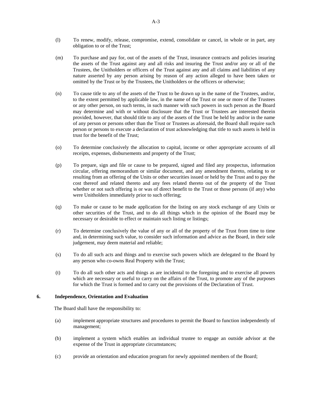- (l) To renew, modify, release, compromise, extend, consolidate or cancel, in whole or in part, any obligation to or of the Trust;
- (m) To purchase and pay for, out of the assets of the Trust, insurance contracts and policies insuring the assets of the Trust against any and all risks and insuring the Trust and/or any or all of the Trustees, the Unitholders or officers of the Trust against any and all claims and liabilities of any nature asserted by any person arising by reason of any action alleged to have been taken or omitted by the Trust or by the Trustees, the Unitholders or the officers or otherwise;
- (n) To cause title to any of the assets of the Trust to be drawn up in the name of the Trustees, and/or, to the extent permitted by applicable law, in the name of the Trust or one or more of the Trustees or any other person, on such terms, in such manner with such powers in such person as the Board may determine and with or without disclosure that the Trust or Trustees are interested therein provided, however, that should title to any of the assets of the Trust be held by and/or in the name of any person or persons other than the Trust or Trustees as aforesaid, the Board shall require such person or persons to execute a declaration of trust acknowledging that title to such assets is held in trust for the benefit of the Trust;
- (o) To determine conclusively the allocation to capital, income or other appropriate accounts of all receipts, expenses, disbursements and property of the Trust;
- (p) To prepare, sign and file or cause to be prepared, signed and filed any prospectus, information circular, offering memorandum or similar document, and any amendment thereto, relating to or resulting from an offering of the Units or other securities issued or held by the Trust and to pay the cost thereof and related thereto and any fees related thereto out of the property of the Trust whether or not such offering is or was of direct benefit to the Trust or those persons (if any) who were Unitholders immediately prior to such offering;
- (q) To make or cause to be made application for the listing on any stock exchange of any Units or other securities of the Trust, and to do all things which in the opinion of the Board may be necessary or desirable to effect or maintain such listing or listings;
- (r) To determine conclusively the value of any or all of the property of the Trust from time to time and, in determining such value, to consider such information and advice as the Board, in their sole judgement, may deem material and reliable;
- (s) To do all such acts and things and to exercise such powers which are delegated to the Board by any person who co-owns Real Property with the Trust;
- (t) To do all such other acts and things as are incidental to the foregoing and to exercise all powers which are necessary or useful to carry on the affairs of the Trust, to promote any of the purposes for which the Trust is formed and to carry out the provisions of the Declaration of Trust.

## **6. Independence, Orientation and Evaluation**

The Board shall have the responsibility to:

- (a) implement appropriate structures and procedures to permit the Board to function independently of management;
- (b) implement a system which enables an individual trustee to engage an outside advisor at the expense of the Trust in appropriate circumstances;
- (c) provide an orientation and education program for newly appointed members of the Board;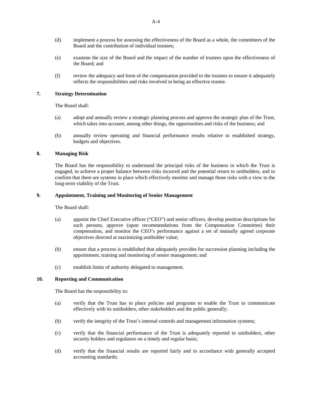- (d) implement a process for assessing the effectiveness of the Board as a whole, the committees of the Board and the contribution of individual trustees;
- (e) examine the size of the Board and the impact of the number of trustees upon the effectiveness of the Board; and
- (f) review the adequacy and form of the compensation provided to the trustees to ensure it adequately reflects the responsibilities and risks involved in being an effective trustee.

## **7. Strategy Determination**

The Board shall:

- (a) adopt and annually review a strategic planning process and approve the strategic plan of the Trust, which takes into account, among other things, the opportunities and risks of the business; and
- (b) annually review operating and financial performance results relative to established strategy, budgets and objectives.

## **8. Managing Risk**

The Board has the responsibility to understand the principal risks of the business in which the Trust is engaged, to achieve a proper balance between risks incurred and the potential return to unitholders, and to confirm that there are systems in place which effectively monitor and manage those risks with a view to the long-term viability of the Trust.

#### **9. Appointment, Training and Monitoring of Senior Management**

The Board shall:

- (a) appoint the Chief Executive officer ("CEO") and senior officers, develop position descriptions for such persons, approve (upon recommendations from the Compensation Committee) their compensation, and monitor the CEO's performance against a set of mutually agreed corporate objectives directed at maximizing unitholder value;
- (b) ensure that a process is established that adequately provides for succession planning including the appointment, training and monitoring of senior management; and
- (c) establish limits of authority delegated to management.

## **10. Reporting and Communication**

The Board has the responsibility to:

- (a) verify that the Trust has in place policies and programs to enable the Trust to communicate effectively with its unitholders, other stakeholders and the public generally;
- (b) verify the integrity of the Trust's internal controls and management information systems;
- (c) verify that the financial performance of the Trust is adequately reported to unitholders, other security holders and regulators on a timely and regular basis;
- (d) verify that the financial results are reported fairly and in accordance with generally accepted accounting standards;